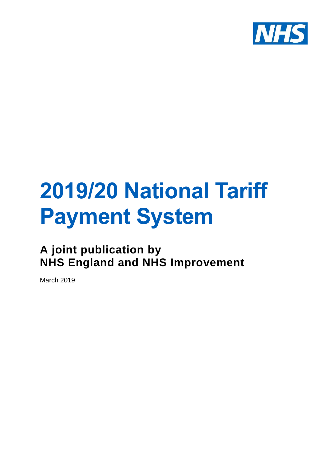

# **2019/20 National Tariff Payment System**

**A joint publication by NHS England and NHS Improvement**

March 2019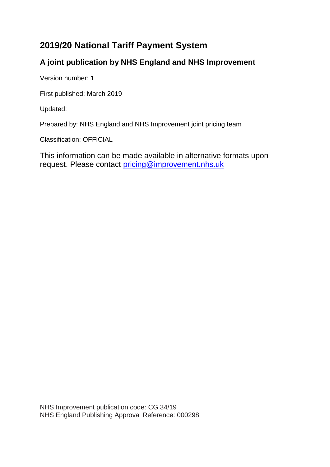# **2019/20 National Tariff Payment System**

# **A joint publication by NHS England and NHS Improvement**

Version number: 1

First published: March 2019

Updated:

Prepared by: NHS England and NHS Improvement joint pricing team

Classification: OFFICIAL

This information can be made available in alternative formats upon request. Please contact [pricing@improvement.nhs.uk](mailto:pricing@improvement.nhs.uk)

NHS Improvement publication code: CG 34/19 NHS England Publishing Approval Reference: 000298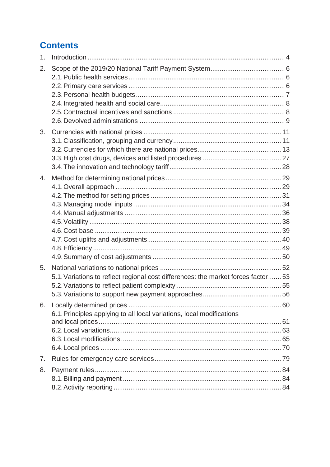# **Contents**

| 1. |                                                                                   |  |
|----|-----------------------------------------------------------------------------------|--|
| 2. |                                                                                   |  |
|    |                                                                                   |  |
|    |                                                                                   |  |
| 3. |                                                                                   |  |
|    |                                                                                   |  |
| 4. |                                                                                   |  |
|    |                                                                                   |  |
|    |                                                                                   |  |
|    |                                                                                   |  |
|    |                                                                                   |  |
|    |                                                                                   |  |
|    |                                                                                   |  |
|    |                                                                                   |  |
| 5. |                                                                                   |  |
|    | 5.1. Variations to reflect regional cost differences: the market forces factor 53 |  |
|    |                                                                                   |  |
|    |                                                                                   |  |
| 6. |                                                                                   |  |
|    | 6.1. Principles applying to all local variations, local modifications             |  |
|    |                                                                                   |  |
|    |                                                                                   |  |
|    |                                                                                   |  |
| 7. |                                                                                   |  |
| 8. |                                                                                   |  |
|    |                                                                                   |  |
|    |                                                                                   |  |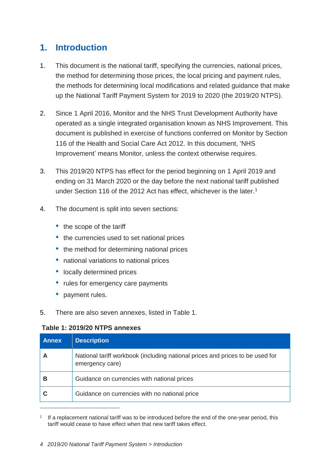# <span id="page-3-0"></span>**1. Introduction**

- 1. This document is the national tariff, specifying the currencies, national prices, the method for determining those prices, the local pricing and payment rules, the methods for determining local modifications and related guidance that make up the National Tariff Payment System for 2019 to 2020 (the 2019/20 NTPS).
- 2. Since 1 April 2016, Monitor and the NHS Trust Development Authority have operated as a single integrated organisation known as NHS Improvement. This document is published in exercise of functions conferred on Monitor by Section 116 of the Health and Social Care Act 2012. In this document, 'NHS Improvement' means Monitor, unless the context otherwise requires.
- 3. This 2019/20 NTPS has effect for the period beginning on 1 April 2019 and ending on 31 March 2020 or the day before the next national tariff published under Section 116 of the 2012 Act has effect, whichever is the later.<sup>1</sup>
- 4. The document is split into seven sections:
	- the scope of the tariff
	- the currencies used to set national prices
	- the method for determining national prices
	- national variations to national prices
	- locally determined prices
	- rules for emergency care payments
	- payment rules.

 $\overline{a}$ 

5. There are also seven annexes, listed in Table 1.

# **Table 1: 2019/20 NTPS annexes**

| <b>Annex</b> | <b>Description</b>                                                                               |
|--------------|--------------------------------------------------------------------------------------------------|
|              | National tariff workbook (including national prices and prices to be used for<br>emergency care) |
| в            | Guidance on currencies with national prices                                                      |
|              | Guidance on currencies with no national price                                                    |

1 If a replacement national tariff was to be introduced before the end of the one-year period, this tariff would cease to have effect when that new tariff takes effect.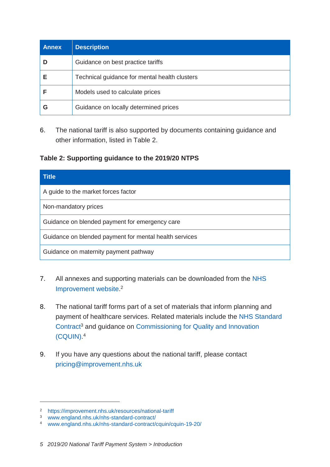| <b>Annex</b> | <b>Description</b>                            |
|--------------|-----------------------------------------------|
|              | Guidance on best practice tariffs             |
| Е            | Technical guidance for mental health clusters |
|              | Models used to calculate prices               |
|              | Guidance on locally determined prices         |

6. The national tariff is also supported by documents containing guidance and other information, listed in Table 2.

# **Table 2: Supporting guidance to the 2019/20 NTPS**

| <b>Title</b>                                           |  |  |
|--------------------------------------------------------|--|--|
| A guide to the market forces factor                    |  |  |
| Non-mandatory prices                                   |  |  |
| Guidance on blended payment for emergency care         |  |  |
| Guidance on blended payment for mental health services |  |  |
| Guidance on maternity payment pathway                  |  |  |

- 7. All annexes and supporting materials can be downloaded from the [NHS](https://improvement.nhs.uk/resources/national-tariff-1920-consultation/)  [Improvement website.](https://improvement.nhs.uk/resources/national-tariff-1920-consultation/) 2
- 8. The national tariff forms part of a set of materials that inform planning and payment of healthcare services. Related materials include the [NHS Standard](https://www.england.nhs.uk/nhs-standard-contract/)  [Contract](https://www.england.nhs.uk/nhs-standard-contract/)<sup>3</sup> and guidance on Commissioning for Quality and Innovation [\(CQUIN\).](https://www.england.nhs.uk/nhs-standard-contract/cquin/cquin-19-20/) 4
- 9. If you have any questions about the national tariff, please contact [pricing@improvement.nhs.uk](mailto:pricing@improvement.nhs.uk)

<sup>2</sup> <https://improvement.nhs.uk/resources/national-tariff>

<sup>3</sup> [www.england.nhs.uk/nhs-standard-contract/](http://www.england.nhs.uk/nhs-standard-contract/)

<sup>4</sup> [www.england.nhs.uk/nhs-standard-contract/cquin/cquin-19-20/](http://www.england.nhs.uk/nhs-standard-contract/cquin/cquin-19-20/)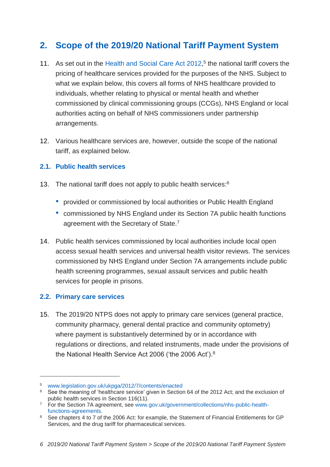# <span id="page-5-0"></span>**2. Scope of the 2019/20 National Tariff Payment System**

- 11. As set out in the [Health and Social Care Act 2012,](http://www.legislation.gov.uk/ukpga/2012/7/contents/enacted)<sup>5</sup> the national tariff covers the pricing of healthcare services provided for the purposes of the NHS. Subject to what we explain below, this covers all forms of NHS healthcare provided to individuals, whether relating to physical or mental health and whether commissioned by clinical commissioning groups (CCGs), NHS England or local authorities acting on behalf of NHS commissioners under partnership arrangements.
- 12. Various healthcare services are, however, outside the scope of the national tariff, as explained below.

# <span id="page-5-1"></span>**2.1. Public health services**

- 13. The national tariff does not apply to public health services:<sup>6</sup>
	- provided or commissioned by local authorities or Public Health England
	- commissioned by NHS England under its Section 7A public health functions agreement with the Secretary of State.<sup>7</sup>
- 14. Public health services commissioned by local authorities include local open access sexual health services and universal health visitor reviews. The services commissioned by NHS England under Section 7A arrangements include public health screening programmes, sexual assault services and public health services for people in prisons.

# <span id="page-5-2"></span>**2.2. Primary care services**

-

15. The 2019/20 NTPS does not apply to primary care services (general practice, community pharmacy, general dental practice and community optometry) where payment is substantively determined by or in accordance with regulations or directions, and related instruments, made under the provisions of the National Health Service Act 2006 ('the 2006 Act').<sup>8</sup>

<sup>5</sup> [www.legislation.gov.uk/ukpga/2012/7/contents/enacted](http://www.legislation.gov.uk/ukpga/2012/7/contents/enacted)

<sup>&</sup>lt;sup>6</sup> See the meaning of 'healthcare service' given in Section 64 of the 2012 Act; and the exclusion of public health services in Section 116(11).

<sup>7</sup> For the Section 7A agreement, see [www.gov.uk/government/collections/nhs-public-health](http://www.gov.uk/government/collections/nhs-public-health-functions-agreements)[functions-agreements.](http://www.gov.uk/government/collections/nhs-public-health-functions-agreements)

<sup>&</sup>lt;sup>8</sup> See chapters 4 to 7 of the 2006 Act: for example, the Statement of Financial Entitlements for GP Services, and the drug tariff for pharmaceutical services.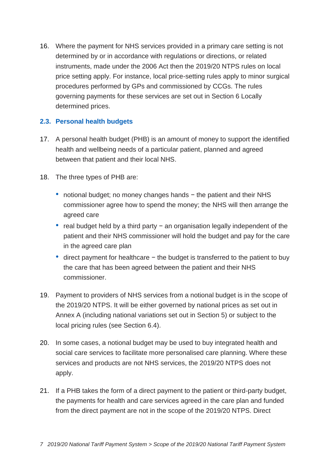16. Where the payment for NHS services provided in a primary care setting is not determined by or in accordance with regulations or directions, or related instruments, made under the 2006 Act then the 2019/20 NTPS rules on local price setting apply. For instance, local price-setting rules apply to minor surgical procedures performed by GPs and commissioned by CCGs. The rules governing payments for these services are set out in Section 6 Locally determined prices.

# <span id="page-6-0"></span>**2.3. Personal health budgets**

- 17. A personal health budget (PHB) is an amount of money to support the identified health and wellbeing needs of a particular patient, planned and agreed between that patient and their local NHS.
- 18. The three types of PHB are:
	- notional budget; no money changes hands − the patient and their NHS commissioner agree how to spend the money; the NHS will then arrange the agreed care
	- real budget held by a third party − an organisation legally independent of the patient and their NHS commissioner will hold the budget and pay for the care in the agreed care plan
	- direct payment for healthcare − the budget is transferred to the patient to buy the care that has been agreed between the patient and their NHS commissioner.
- 19. Payment to providers of NHS services from a notional budget is in the scope of the 2019/20 NTPS. It will be either governed by national prices as set out in Annex A (including national variations set out in Section 5) or subject to the local pricing rules (see Section 6.4).
- 20. In some cases, a notional budget may be used to buy integrated health and social care services to facilitate more personalised care planning. Where these services and products are not NHS services, the 2019/20 NTPS does not apply.
- 21. If a PHB takes the form of a direct payment to the patient or third-party budget, the payments for health and care services agreed in the care plan and funded from the direct payment are not in the scope of the 2019/20 NTPS. Direct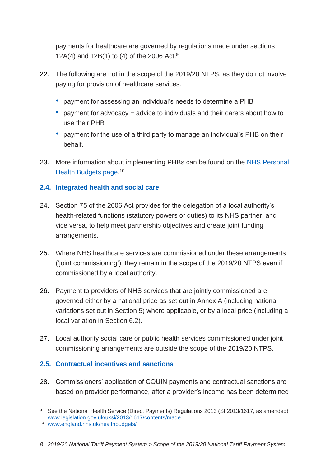payments for healthcare are governed by [regulations made under sections](http://www.legislation.gov.uk/uksi/2013/1617/pdfs/uksi_20131617_en.pdf)  [12A\(4\) and 12B\(1\) to \(4\) of the 2006](http://www.legislation.gov.uk/uksi/2013/1617/pdfs/uksi_20131617_en.pdf) Act.<sup>9</sup>

- 22. The following are not in the scope of the 2019/20 NTPS, as they do not involve paying for provision of healthcare services:
	- payment for assessing an individual's needs to determine a PHB
	- payment for advocacy − advice to individuals and their carers about how to use their PHB
	- payment for the use of a third party to manage an individual's PHB on their behalf.
- 23. More information about implementing PHBs can be found on the [NHS Personal](http://www.england.nhs.uk/healthbudgets/)  [Health Budgets page.](http://www.england.nhs.uk/healthbudgets/)<sup>10</sup>

# <span id="page-7-0"></span>**2.4. Integrated health and social care**

- 24. Section 75 of the 2006 Act provides for the delegation of a local authority's health-related functions (statutory powers or duties) to its NHS partner, and vice versa, to help meet partnership objectives and create joint funding arrangements.
- 25. Where NHS healthcare services are commissioned under these arrangements ('joint commissioning'), they remain in the scope of the 2019/20 NTPS even if commissioned by a local authority.
- 26. Payment to providers of NHS services that are jointly commissioned are governed either by a national price as set out in Annex A (including national variations set out in Section 5) where applicable, or by a local price (including a local variation in Section 6.2).
- 27. Local authority social care or public health services commissioned under joint commissioning arrangements are outside the scope of the 2019/20 NTPS.

# <span id="page-7-1"></span>**2.5. Contractual incentives and sanctions**

28. Commissioners' application of CQUIN payments and contractual sanctions are based on provider performance, after a provider's income has been determined

<sup>9</sup> See the National Health Service (Direct Payments) Regulations 2013 (SI 2013/1617, as amended) [www.legislation.gov.uk/uksi/2013/1617/contents/made](http://www.legislation.gov.uk/uksi/2013/1617/contents/made)

<sup>10</sup> [www.england.nhs.uk/healthbudgets/](http://www.england.nhs.uk/healthbudgets/)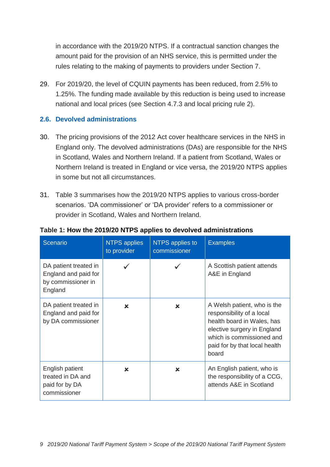in accordance with the 2019/20 NTPS. If a contractual sanction changes the amount paid for the provision of an NHS service, this is permitted under the rules relating to the making of payments to providers under Section 7.

29. For 2019/20, the level of CQUIN payments has been reduced, from 2.5% to 1.25%. The funding made available by this reduction is being used to increase national and local prices (see Section 4.7.3 and local pricing rule 2).

# <span id="page-8-0"></span>**2.6. Devolved administrations**

- 30. The pricing provisions of the 2012 Act cover healthcare services in the NHS in England only. The devolved administrations (DAs) are responsible for the NHS in Scotland, Wales and Northern Ireland. If a patient from Scotland, Wales or Northern Ireland is treated in England or vice versa, the 2019/20 NTPS applies in some but not all circumstances.
- 31. Table 3 summarises how the 2019/20 NTPS applies to various cross-border scenarios. 'DA commissioner' or 'DA provider' refers to a commissioner or provider in Scotland, Wales and Northern Ireland.

| Scenario                                                                       | <b>NTPS applies</b><br>to provider | NTPS applies to<br>commissioner | <b>Examples</b>                                                                                                                                                                              |
|--------------------------------------------------------------------------------|------------------------------------|---------------------------------|----------------------------------------------------------------------------------------------------------------------------------------------------------------------------------------------|
| DA patient treated in<br>England and paid for<br>by commissioner in<br>England |                                    |                                 | A Scottish patient attends<br>A&E in England                                                                                                                                                 |
| DA patient treated in<br>England and paid for<br>by DA commissioner            | ×                                  | ×                               | A Welsh patient, who is the<br>responsibility of a local<br>health board in Wales, has<br>elective surgery in England<br>which is commissioned and<br>paid for by that local health<br>board |
| English patient<br>treated in DA and<br>paid for by DA<br>commissioner         | ×                                  | $\mathbf x$                     | An English patient, who is<br>the responsibility of a CCG,<br>attends A&E in Scotland                                                                                                        |

#### **Table 1: How the 2019/20 NTPS applies to devolved administrations**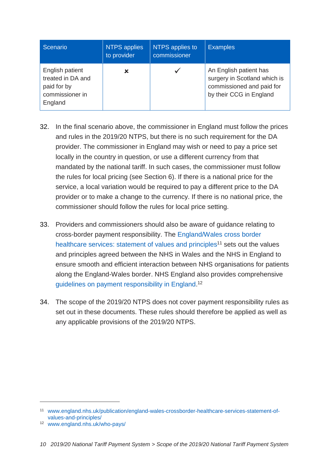| Scenario                                                                          | <b>NTPS applies</b><br>to provider | NTPS applies to<br>commissioner | <b>Examples</b>                                                                                                |
|-----------------------------------------------------------------------------------|------------------------------------|---------------------------------|----------------------------------------------------------------------------------------------------------------|
| English patient<br>treated in DA and<br>paid for by<br>commissioner in<br>England | ×                                  |                                 | An English patient has<br>surgery in Scotland which is<br>commissioned and paid for<br>by their CCG in England |

- 32. In the final scenario above, the commissioner in England must follow the prices and rules in the 2019/20 NTPS, but there is no such requirement for the DA provider. The commissioner in England may wish or need to pay a price set locally in the country in question, or use a different currency from that mandated by the national tariff. In such cases, the commissioner must follow the rules for local pricing (see Section 6). If there is a national price for the service, a local variation would be required to pay a different price to the DA provider or to make a change to the currency. If there is no national price, the commissioner should follow the rules for local price setting.
- 33. Providers and commissioners should also be aware of guidance relating to cross-border payment responsibility. The [England/Wales cross border](http://www.england.nhs.uk/publication/england-wales-crossborder-healthcare-services-statement-of-values-and-principles/) [healthcare services: statement of values and principles](http://www.england.nhs.uk/publication/england-wales-crossborder-healthcare-services-statement-of-values-and-principles/)<sup>11</sup> sets out the values and principles agreed between the NHS in Wales and the NHS in England to ensure smooth and efficient interaction between NHS organisations for patients along the England-Wales border. NHS England also provides comprehensive [guidelines on payment responsibility in England.](https://www.england.nhs.uk/who-pays/)<sup>12</sup>
- 34. The scope of the 2019/20 NTPS does not cover payment responsibility rules as set out in these documents. These rules should therefore be applied as well as any applicable provisions of the 2019/20 NTPS.

<sup>11</sup> [www.england.nhs.uk/publication/england-wales-crossborder-healthcare-services-statement-of](http://www.england.nhs.uk/publication/england-wales-crossborder-healthcare-services-statement-of-values-and-principles/)[values-and-principles/](http://www.england.nhs.uk/publication/england-wales-crossborder-healthcare-services-statement-of-values-and-principles/)

<sup>12</sup> [www.england.nhs.uk/who-pays/](https://www.england.nhs.uk/who-pays/)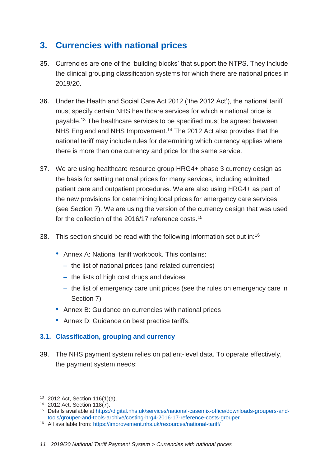# <span id="page-10-0"></span>**3. Currencies with national prices**

- 35. Currencies are one of the 'building blocks' that support the NTPS. They include the clinical grouping classification systems for which there are national prices in 2019/20.
- 36. Under the Health and Social Care Act 2012 ('the 2012 Act'), the national tariff must specify certain NHS healthcare services for which a national price is payable.<sup>13</sup> The healthcare services to be specified must be agreed between NHS England and NHS Improvement.<sup>14</sup> The 2012 Act also provides that the national tariff may include rules for determining which currency applies where there is more than one currency and price for the same service.
- 37. We are using healthcare resource group HRG4+ phase 3 currency design as the basis for setting national prices for many services, including admitted patient care and outpatient procedures. We are also using HRG4+ as part of the new provisions for determining local prices for emergency care services (see Section 7). We are using the version of the currency design that was used for the collection of the 2016/17 reference costs.<sup>15</sup>
- 38. This section should be read with the following information set out in:<sup>16</sup>
	- Annex A: National tariff workbook. This contains:
		- the list of national prices (and related currencies)
		- the lists of high cost drugs and devices
		- the list of emergency care unit prices (see the rules on emergency care in Section 7)
	- Annex B: Guidance on currencies with national prices
	- Annex D: Guidance on best practice tariffs.

# <span id="page-10-1"></span>**3.1. Classification, grouping and currency**

39. The NHS payment system relies on patient-level data. To operate effectively, the payment system needs:

<sup>13</sup> 2012 Act, Section 116(1)(a).

<sup>14</sup> 2012 Act, Section 118(7).

<sup>15</sup> Details available at [https://digital.nhs.uk/services/national-casemix-office/downloads-groupers-and](https://digital.nhs.uk/services/national-casemix-office/downloads-groupers-and-tools/grouper-and-tools-archive/costing-hrg4-2016-17-reference-costs-grouper)[tools/grouper-and-tools-archive/costing-hrg4-2016-17-reference-costs-grouper](https://digital.nhs.uk/services/national-casemix-office/downloads-groupers-and-tools/grouper-and-tools-archive/costing-hrg4-2016-17-reference-costs-grouper)

<sup>16</sup> All available from:<https://improvement.nhs.uk/resources/national-tariff/>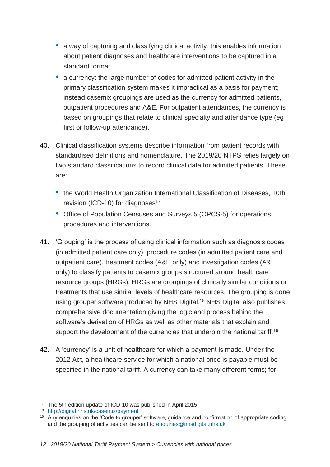- a way of capturing and classifying clinical activity: this enables information about patient diagnoses and healthcare interventions to be captured in a standard format
- a currency: the large number of codes for admitted patient activity in the primary classification system makes it impractical as a basis for payment; instead casemix groupings are used as the currency for admitted patients, outpatient procedures and A&E. For outpatient attendances, the currency is based on groupings that relate to clinical specialty and attendance type (eg first or follow-up attendance).
- 40. Clinical classification systems describe information from patient records with standardised definitions and nomenclature. The 2019/20 NTPS relies largely on two standard classifications to record clinical data for admitted patients. These are:
	- the World Health Organization International Classification of Diseases, 10th revision (ICD-10) for diagnoses<sup>17</sup>
	- Office of Population Censuses and Surveys 5 (OPCS-5) for operations, procedures and interventions.
- 41. 'Grouping' is the process of using clinical information such as diagnosis codes (in admitted patient care only), procedure codes (in admitted patient care and outpatient care), treatment codes (A&E only) and investigation codes (A&E only) to classify patients to casemix groups structured around healthcare resource groups (HRGs). HRGs are groupings of clinically similar conditions or treatments that use similar levels of healthcare resources. The grouping is done using [grouper software produced by NHS Digital.](http://www.hscic.gov.uk/casemix/payment) <sup>18</sup> NHS Digital also publishes comprehensive documentation giving the logic and process behind the software's derivation of HRGs as well as other materials that explain and support the development of the currencies that underpin the national tariff.<sup>19</sup>
- 42. A 'currency' is a unit of healthcare for which a payment is made. Under the 2012 Act, a healthcare service for which a national price is payable must be specified in the national tariff. A currency can take many different forms; for

<sup>&</sup>lt;sup>17</sup> The 5th edition update of ICD-10 was published in April 2015.

<sup>18</sup> <http://digital.nhs.uk/casemix/payment>

<sup>&</sup>lt;sup>19</sup> Any enquiries on the 'Code to grouper' software, guidance and confirmation of appropriate coding and the grouping of activities can be sent to [enquiries@nhsdigital.nhs.uk](mailto:enquiries@nhsdigital.nhs.uk)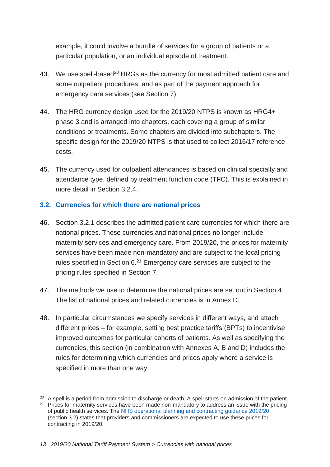example, it could involve a bundle of services for a group of patients or a particular population, or an individual episode of treatment.

- 43. We use spell-based<sup>20</sup> HRGs as the currency for most admitted patient care and some outpatient procedures, and as part of the payment approach for emergency care services (see Section 7).
- 44. The HRG currency design used for the 2019/20 NTPS is known as HRG4+ phase 3 and is arranged into chapters, each covering a group of similar conditions or treatments. Some chapters are divided into subchapters. The specific design for the 2019/20 NTPS is that used to collect 2016/17 reference costs.
- 45. The currency used for outpatient attendances is based on clinical specialty and attendance type, defined by treatment function code (TFC). This is explained in more detail in Section 3.2.4.

# <span id="page-12-0"></span>**3.2. Currencies for which there are national prices**

- 46. Section 3.2.1 describes the admitted patient care currencies for which there are national prices. These currencies and national prices no longer include maternity services and emergency care. From 2019/20, the prices for maternity services have been made non-mandatory and are subject to the local pricing rules specified in Section  $6^{21}$  Emergency care services are subject to the pricing rules specified in Section 7.
- 47. The methods we use to determine the national prices are set out in Section 4. The list of national prices and related currencies is in Annex D.
- 48. In particular circumstances we specify services in different ways, and attach different prices – for example, setting best practice tariffs (BPTs) to incentivise improved outcomes for particular cohorts of patients. As well as specifying the currencies, this section (in combination with Annexes A, B and D) includes the rules for determining which currencies and prices apply where a service is specified in more than one way.

<sup>&</sup>lt;sup>20</sup> A spell is a period from admission to discharge or death. A spell starts on admission of the patient.

<sup>&</sup>lt;sup>21</sup> Prices for maternity services have been made non-mandatory to address an issue with the pricing of public health services. The [NHS operational planning and contracting guidance 2019/20](https://www.england.nhs.uk/wp-content/uploads/2018/12/nhs-operational-planning-and-contracting-guidance.pdf) (section 3.2) states that providers and commissioners are expected to use these prices for contracting in 2019/20.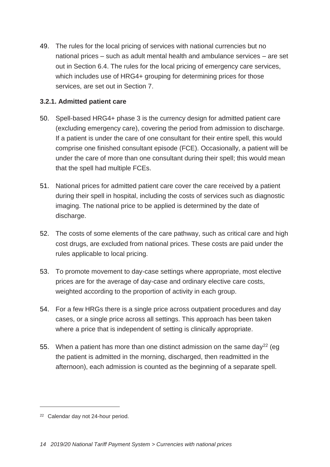49. The rules for the local pricing of services with national currencies but no national prices – such as adult mental health and ambulance services – are set out in Section 6.4. The rules for the local pricing of emergency care services, which includes use of HRG4+ grouping for determining prices for those services, are set out in Section 7.

# **3.2.1. Admitted patient care**

- 50. Spell-based HRG4+ phase 3 is the currency design for admitted patient care (excluding emergency care), covering the period from admission to discharge. If a patient is under the care of one consultant for their entire spell, this would comprise one finished consultant episode (FCE). Occasionally, a patient will be under the care of more than one consultant during their spell; this would mean that the spell had multiple FCEs.
- 51. National prices for admitted patient care cover the care received by a patient during their spell in hospital, including the costs of services such as diagnostic imaging. The national price to be applied is determined by the date of discharge.
- 52. The costs of some elements of the care pathway, such as critical care and high cost drugs, are excluded from national prices. These costs are paid under the rules applicable to local pricing.
- 53. To promote movement to day-case settings where appropriate, most elective prices are for the average of day-case and ordinary elective care costs, weighted according to the proportion of activity in each group.
- 54. For a few HRGs there is a single price across outpatient procedures and day cases, or a single price across all settings. This approach has been taken where a price that is independent of setting is clinically appropriate.
- 55. When a patient has more than one distinct admission on the same day<sup>22</sup> (eq. the patient is admitted in the morning, discharged, then readmitted in the afternoon), each admission is counted as the beginning of a separate spell.

<sup>22</sup> Calendar day not 24-hour period.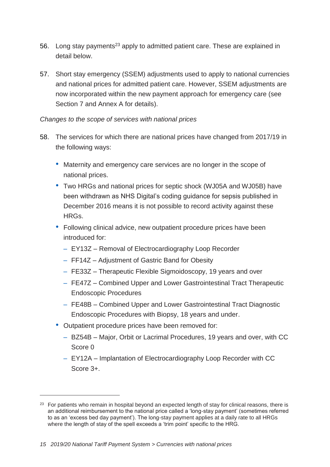- 56. Long stay payments<sup>23</sup> apply to admitted patient care. These are explained in detail below.
- 57. Short stay emergency (SSEM) adjustments used to apply to national currencies and national prices for admitted patient care. However, SSEM adjustments are now incorporated within the new payment approach for emergency care (see Section 7 and Annex A for details).

# *Changes to the scope of services with national prices*

- 58. The services for which there are national prices have changed from 2017/19 in the following ways:
	- Maternity and emergency care services are no longer in the scope of national prices.
	- Two HRGs and national prices for septic shock (WJ05A and WJ05B) have been withdrawn as NHS Digital's coding guidance for sepsis published in December 2016 means it is not possible to record activity against these HRGs.
	- Following clinical advice, new outpatient procedure prices have been introduced for:
		- EY13Z Removal of Electrocardiography Loop Recorder
		- FF14Z Adjustment of Gastric Band for Obesity
		- FE33Z Therapeutic Flexible Sigmoidoscopy, 19 years and over
		- FE47Z Combined Upper and Lower Gastrointestinal Tract Therapeutic Endoscopic Procedures
		- FE48B Combined Upper and Lower Gastrointestinal Tract Diagnostic Endoscopic Procedures with Biopsy, 18 years and under.
	- Outpatient procedure prices have been removed for:
		- BZ54B Major, Orbit or Lacrimal Procedures, 19 years and over, with CC Score 0
		- EY12A Implantation of Electrocardiography Loop Recorder with CC Score 3+.

<sup>&</sup>lt;sup>23</sup> For patients who remain in hospital beyond an expected length of stay for clinical reasons, there is an additional reimbursement to the national price called a 'long-stay payment' (sometimes referred to as an 'excess bed day payment'). The long-stay payment applies at a daily rate to all HRGs where the length of stay of the spell exceeds a 'trim point' specific to the HRG.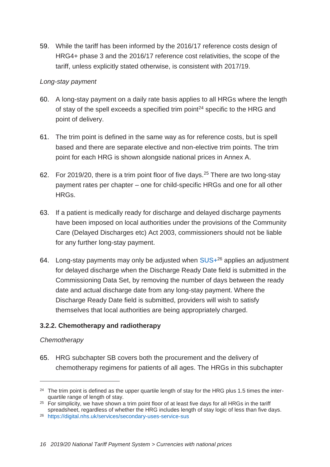59. While the tariff has been informed by the 2016/17 reference costs design of HRG4+ phase 3 and the 2016/17 reference cost relativities, the scope of the tariff, unless explicitly stated otherwise, is consistent with 2017/19.

#### *Long-stay payment*

- 60. A long-stay payment on a daily rate basis applies to all HRGs where the length of stay of the spell exceeds a specified trim point<sup>24</sup> specific to the HRG and point of delivery.
- 61. The trim point is defined in the same way as for reference costs, but is spell based and there are separate elective and non-elective trim points. The trim point for each HRG is shown alongside national prices in Annex A.
- 62. For 2019/20, there is a trim point floor of five days.<sup>25</sup> There are two long-stay payment rates per chapter – one for child-specific HRGs and one for all other HRGs.
- 63. If a patient is medically ready for discharge and delayed discharge payments have been imposed on local authorities under the provisions of the Community Care (Delayed Discharges etc) Act 2003, commissioners should not be liable for any further long-stay payment.
- 64. Long-stay payments may only be adjusted when  $SUS + 26$  applies an adjustment for delayed discharge when the Discharge Ready Date field is submitted in the Commissioning Data Set, by removing the number of days between the ready date and actual discharge date from any long-stay payment. Where the Discharge Ready Date field is submitted, providers will wish to satisfy themselves that local authorities are being appropriately charged.

# **3.2.2. Chemotherapy and radiotherapy**

# *Chemotherapy*

-

65. HRG subchapter SB covers both the procurement and the delivery of chemotherapy regimens for patients of all ages. The HRGs in this subchapter

<sup>&</sup>lt;sup>24</sup> The trim point is defined as the upper quartile length of stay for the HRG plus 1.5 times the interquartile range of length of stay.

 $25$  For simplicity, we have shown a trim point floor of at least five days for all HRGs in the tariff spreadsheet, regardless of whether the HRG includes length of stay logic of less than five days.

<sup>26</sup> <https://digital.nhs.uk/services/secondary-uses-service-sus>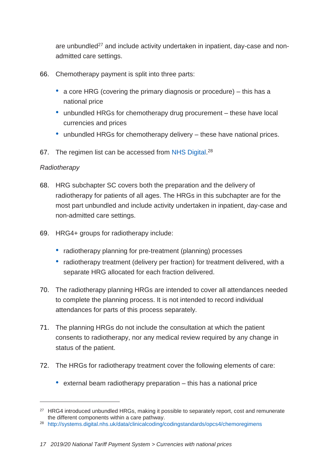are unbundled<sup>27</sup> and include activity undertaken in inpatient, day-case and nonadmitted care settings.

- 66. Chemotherapy payment is split into three parts:
	- a core HRG (covering the primary diagnosis or procedure) this has a national price
	- unbundled HRGs for chemotherapy drug procurement these have local currencies and prices
	- unbundled HRGs for chemotherapy delivery these have national prices.
- 67. The regimen list can be accessed from [NHS Digital.](https://hscic.kahootz.com/connect.ti/t_c_home/viewBlogArticle?articleid=247481)<sup>28</sup>

# *Radiotherapy*

- 68. HRG subchapter SC covers both the preparation and the delivery of radiotherapy for patients of all ages. The HRGs in this subchapter are for the most part unbundled and include activity undertaken in inpatient, day-case and non-admitted care settings.
- 69. HRG4+ groups for radiotherapy include:
	- radiotherapy planning for pre-treatment (planning) processes
	- radiotherapy treatment (delivery per fraction) for treatment delivered, with a separate HRG allocated for each fraction delivered.
- 70. The radiotherapy planning HRGs are intended to cover all attendances needed to complete the planning process. It is not intended to record individual attendances for parts of this process separately.
- 71. The planning HRGs do not include the consultation at which the patient consents to radiotherapy, nor any medical review required by any change in status of the patient.
- 72. The HRGs for radiotherapy treatment cover the following elements of care:
	- external beam radiotherapy preparation this has a national price

<sup>&</sup>lt;sup>27</sup> HRG4 introduced unbundled HRGs, making it possible to separately report, cost and remunerate the different components within a care pathway.

<sup>28</sup> <http://systems.digital.nhs.uk/data/clinicalcoding/codingstandards/opcs4/chemoregimens>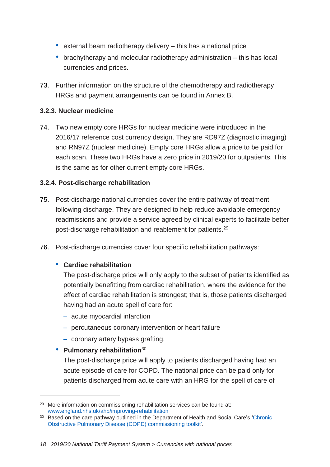- external beam radiotherapy delivery this has a national price
- brachytherapy and molecular radiotherapy administration this has local currencies and prices.
- 73. Further information on the structure of the chemotherapy and radiotherapy HRGs and payment arrangements can be found in Annex B.

# **3.2.3. Nuclear medicine**

74. Two new empty core HRGs for nuclear medicine were introduced in the 2016/17 reference cost currency design. They are RD97Z (diagnostic imaging) and RN97Z (nuclear medicine). Empty core HRGs allow a price to be paid for each scan. These two HRGs have a zero price in 2019/20 for outpatients. This is the same as for other current empty core HRGs.

# **3.2.4. Post-discharge rehabilitation**

- 75. Post-discharge national currencies cover the entire pathway of treatment following discharge. They are designed to help reduce avoidable emergency readmissions and provide a service agreed by clinical experts to facilitate better post-discharge rehabilitation and reablement for patients.<sup>29</sup>
- 76. Post-discharge currencies cover four specific rehabilitation pathways:

# • **Cardiac rehabilitation**

The post-discharge price will only apply to the subset of patients identified as potentially benefitting from cardiac rehabilitation, where the evidence for the effect of cardiac rehabilitation is strongest; that is, those patients discharged having had an acute spell of care for:

- acute myocardial infarction
- percutaneous coronary intervention or heart failure
- coronary artery bypass grafting.

# • **Pulmonary rehabilitation**<sup>30</sup>

-

The post-discharge price will apply to patients discharged having had an acute episode of care for COPD. The national price can be paid only for patients discharged from acute care with an HRG for the spell of care of

<sup>29</sup> More information on commissioning rehabilitation services can be found at: [www.england.nhs.uk/ahp/improving-rehabilitation](http://www.england.nhs.uk/ahp/improving-rehabilitation)

<sup>&</sup>lt;sup>30</sup> Based on the care pathway outlined in the Department of Health and Social Care's 'Chronic [Obstructive Pulmonary Disease \(COPD\) commissioning toolkit'.](https://www.gov.uk/government/publications/commissioning-toolkit-for-respiratory-services)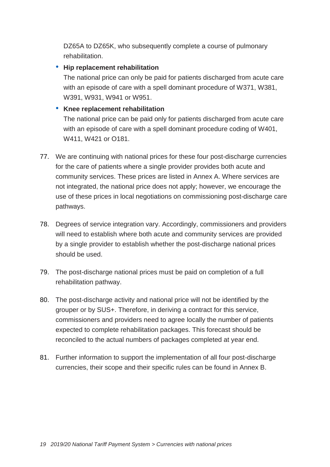DZ65A to DZ65K, who subsequently complete a course of pulmonary rehabilitation.

# • **Hip replacement rehabilitation**

The national price can only be paid for patients discharged from acute care with an episode of care with a spell dominant procedure of W371, W381, W391, W931, W941 or W951.

# • **Knee replacement rehabilitation**

The national price can be paid only for patients discharged from acute care with an episode of care with a spell dominant procedure coding of W401, W411, W421 or O181.

- 77. We are continuing with national prices for these four post-discharge currencies for the care of patients where a single provider provides both acute and community services. These prices are listed in Annex A. Where services are not integrated, the national price does not apply; however, we encourage the use of these prices in local negotiations on commissioning post-discharge care pathways.
- 78. Degrees of service integration vary. Accordingly, commissioners and providers will need to establish where both acute and community services are provided by a single provider to establish whether the post-discharge national prices should be used.
- 79. The post-discharge national prices must be paid on completion of a full rehabilitation pathway.
- 80. The post-discharge activity and national price will not be identified by the grouper or by SUS+. Therefore, in deriving a contract for this service, commissioners and providers need to agree locally the number of patients expected to complete rehabilitation packages. This forecast should be reconciled to the actual numbers of packages completed at year end.
- 81. Further information to support the implementation of all four post-discharge currencies, their scope and their specific rules can be found in Annex B.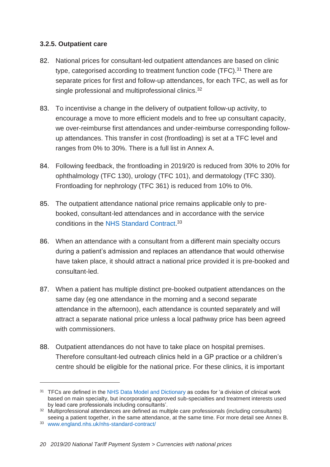#### **3.2.5. Outpatient care**

- 82. National prices for consultant-led outpatient attendances are based on clinic type, categorised according to treatment function code (TFC).<sup>31</sup> There are separate prices for first and follow-up attendances, for each TFC, as well as for single professional and multiprofessional clinics.<sup>32</sup>
- 83. To incentivise a change in the delivery of outpatient follow-up activity, to encourage a move to more efficient models and to free up consultant capacity, we over-reimburse first attendances and under-reimburse corresponding followup attendances. This transfer in cost (frontloading) is set at a TFC level and ranges from 0% to 30%. There is a full list in Annex A.
- 84. Following feedback, the frontloading in 2019/20 is reduced from 30% to 20% for ophthalmology (TFC 130), urology (TFC 101), and dermatology (TFC 330). Frontloading for nephrology (TFC 361) is reduced from 10% to 0%.
- 85. The outpatient attendance national price remains applicable only to prebooked, consultant-led attendances and in accordance with the service conditions in the [NHS Standard Contract.](http://www.england.nhs.uk/nhs-standard-contract/)<sup>33</sup>
- 86. When an attendance with a consultant from a different main specialty occurs during a patient's admission and replaces an attendance that would otherwise have taken place, it should attract a national price provided it is pre-booked and consultant-led.
- 87. When a patient has multiple distinct pre-booked outpatient attendances on the same day (eg one attendance in the morning and a second separate attendance in the afternoon), each attendance is counted separately and will attract a separate national price unless a local pathway price has been agreed with commissioners.
- 88. Outpatient attendances do not have to take place on hospital premises. Therefore consultant-led outreach clinics held in a GP practice or a children's centre should be eligible for the national price. For these clinics, it is important

<sup>&</sup>lt;sup>31</sup> TFCs are defined in the [NHS Data Model and Dictionary](https://www.datadictionary.nhs.uk/) as codes for 'a division of clinical work based on main specialty, but incorporating approved sub-specialties and treatment interests used by lead care professionals including consultants'.

<sup>&</sup>lt;sup>32</sup> Multiprofessional attendances are defined as multiple care professionals (including consultants) seeing a patient together, in the same attendance, at the same time. For more detail see Annex B.

<sup>33</sup> [www.england.nhs.uk/nhs-standard-contract/](http://www.england.nhs.uk/nhs-standard-contract/)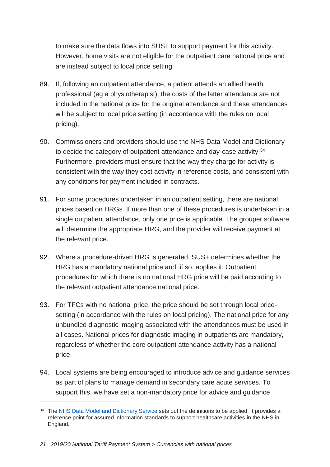to make sure the data flows into SUS+ to support payment for this activity. However, home visits are not eligible for the outpatient care national price and are instead subject to local price setting.

- 89. If, following an outpatient attendance, a patient attends an allied health professional (eg a physiotherapist), the costs of the latter attendance are not included in the national price for the original attendance and these attendances will be subject to local price setting (in accordance with the rules on local pricing).
- 90. Commissioners and providers should use the NHS Data Model and Dictionary to decide the category of outpatient attendance and day-case activity.<sup>34</sup> Furthermore, providers must ensure that the way they charge for activity is consistent with the way they cost activity in reference costs, and consistent with any conditions for payment included in contracts.
- 91. For some procedures undertaken in an outpatient setting, there are national prices based on HRGs. If more than one of these procedures is undertaken in a single outpatient attendance, only one price is applicable. The grouper software will determine the appropriate HRG, and the provider will receive payment at the relevant price.
- 92. Where a procedure-driven HRG is generated, SUS+ determines whether the HRG has a mandatory national price and, if so, applies it. Outpatient procedures for which there is no national HRG price will be paid according to the relevant outpatient attendance national price.
- 93. For TFCs with no national price, the price should be set through local pricesetting (in accordance with the rules on local pricing). The national price for any unbundled diagnostic imaging associated with the attendances must be used in all cases. National prices for diagnostic imaging in outpatients are mandatory, regardless of whether the core outpatient attendance activity has a national price.
- 94. Local systems are being encouraged to introduce advice and guidance services as part of plans to manage demand in secondary care acute services. To support this, we have set a non-mandatory price for advice and guidance

<sup>&</sup>lt;sup>34</sup> The [NHS Data Model and Dictionary Service](http://www.datadictionary.nhs.uk/) sets out the definitions to be applied. It provides a reference point for assured information standards to support healthcare activities in the NHS in England.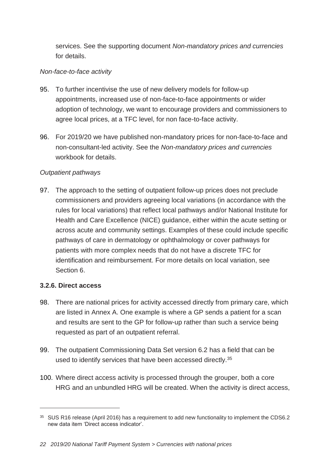services. See the supporting document *Non-mandatory prices and currencies* for details.

# *Non-face-to-face activity*

- 95. To further incentivise the use of new delivery models for follow-up appointments, increased use of non-face-to-face appointments or wider adoption of technology, we want to encourage providers and commissioners to agree local prices, at a TFC level, for non face-to-face activity.
- 96. For 2019/20 we have published non-mandatory prices for non-face-to-face and non-consultant-led activity. See the *Non-mandatory prices and currencies* workbook for details.

# *Outpatient pathways*

97. The approach to the setting of outpatient follow-up prices does not preclude commissioners and providers agreeing local variations (in accordance with the rules for local variations) that reflect local pathways and/or National Institute for Health and Care Excellence (NICE) guidance, either within the acute setting or across acute and community settings. Examples of these could include specific pathways of care in dermatology or ophthalmology or cover pathways for patients with more complex needs that do not have a discrete TFC for identification and reimbursement. For more details on local variation, see Section 6.

# **3.2.6. Direct access**

 $\overline{a}$ 

- 98. There are national prices for activity accessed directly from primary care, which are listed in Annex A. One example is where a GP sends a patient for a scan and results are sent to the GP for follow-up rather than such a service being requested as part of an outpatient referral.
- 99. The outpatient Commissioning Data Set version 6.2 has a field that can be used to identify services that have been accessed directly.<sup>35</sup>
- 100. Where direct access activity is processed through the grouper, both a core HRG and an unbundled HRG will be created. When the activity is direct access,

<sup>&</sup>lt;sup>35</sup> SUS R16 release (April 2016) has a requirement to add new functionality to implement the CDS6.2 new data item 'Direct access indicator'.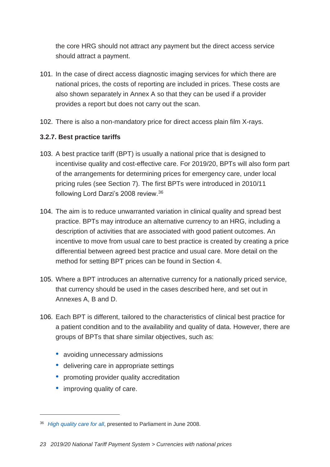the core HRG should not attract any payment but the direct access service should attract a payment.

- 101. In the case of direct access diagnostic imaging services for which there are national prices, the costs of reporting are included in prices. These costs are also shown separately in Annex A so that they can be used if a provider provides a report but does not carry out the scan.
- 102. There is also a non-mandatory price for direct access plain film X-rays.

# **3.2.7. Best practice tariffs**

- 103. A best practice tariff (BPT) is usually a national price that is designed to incentivise quality and cost-effective care. For 2019/20, BPTs will also form part of the arrangements for determining prices for emergency care, under local pricing rules (see Section 7). The first BPTs were introduced in 2010/11 following Lord Darzi's 2008 review.<sup>36</sup>
- 104. The aim is to reduce unwarranted variation in clinical quality and spread best practice. BPTs may introduce an alternative currency to an HRG, including a description of activities that are associated with good patient outcomes. An incentive to move from usual care to best practice is created by creating a price differential between agreed best practice and usual care. More detail on the method for setting BPT prices can be found in Section 4.
- 105. Where a BPT introduces an alternative currency for a nationally priced service, that currency should be used in the cases described here, and set out in Annexes A, B and D.
- 106. Each BPT is different, tailored to the characteristics of clinical best practice for a patient condition and to the availability and quality of data. However, there are groups of BPTs that share similar objectives, such as:
	- avoiding unnecessary admissions
	- delivering care in appropriate settings
	- promoting provider quality accreditation
	- improving quality of care.

<sup>36</sup> *[High quality care for all](https://www.gov.uk/government/publications/high-quality-care-for-all-nhs-next-stage-review-final-report)*, presented to Parliament in June 2008.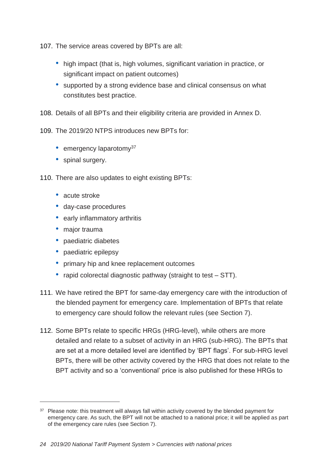107. The service areas covered by BPTs are all:

- high impact (that is, high volumes, significant variation in practice, or significant impact on patient outcomes)
- supported by a strong evidence base and clinical consensus on what constitutes best practice.

108. Details of all BPTs and their eligibility criteria are provided in Annex D.

109. The 2019/20 NTPS introduces new BPTs for:

- $\bullet$  emergency laparotomy<sup>37</sup>
- spinal surgery.

110. There are also updates to eight existing BPTs:

- acute stroke
- day-case procedures
- early inflammatory arthritis
- major trauma

- paediatric diabetes
- paediatric epilepsy
- primary hip and knee replacement outcomes
- rapid colorectal diagnostic pathway (straight to test STT).
- 111. We have retired the BPT for same-day emergency care with the introduction of the blended payment for emergency care. Implementation of BPTs that relate to emergency care should follow the relevant rules (see Section 7).
- 112. Some BPTs relate to specific HRGs (HRG-level), while others are more detailed and relate to a subset of activity in an HRG (sub-HRG). The BPTs that are set at a more detailed level are identified by 'BPT flags'. For sub-HRG level BPTs, there will be other activity covered by the HRG that does not relate to the BPT activity and so a 'conventional' price is also published for these HRGs to

<sup>&</sup>lt;sup>37</sup> Please note: this treatment will always fall within activity covered by the blended payment for emergency care. As such, the BPT will not be attached to a national price; it will be applied as part of the emergency care rules (see Section 7).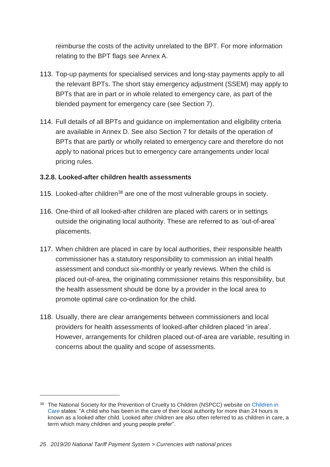reimburse the costs of the activity unrelated to the BPT. For more information relating to the BPT flags see Annex A.

- 113. Top-up payments for specialised services and long-stay payments apply to all the relevant BPTs. The short stay emergency adjustment (SSEM) may apply to BPTs that are in part or in whole related to emergency care, as part of the blended payment for emergency care (see Section 7).
- 114. Full details of all BPTs and guidance on implementation and eligibility criteria are available in Annex D. See also Section 7 for details of the operation of BPTs that are partly or wholly related to emergency care and therefore do not apply to national prices but to emergency care arrangements under local pricing rules.

# **3.2.8. Looked-after children health assessments**

- 115. Looked-after children<sup>38</sup> are one of the most vulnerable groups in society.
- 116. One-third of all looked-after children are placed with carers or in settings outside the originating local authority. These are referred to as 'out-of-area' placements.
- 117. When children are placed in care by local authorities, their responsible health commissioner has a statutory responsibility to commission an initial health assessment and conduct six-monthly or yearly reviews. When the child is placed out-of-area, the originating commissioner retains this responsibility, but the health assessment should be done by a provider in the local area to promote optimal care co-ordination for the child.
- 118. Usually, there are clear arrangements between commissioners and local providers for health assessments of looked-after children placed 'in area'. However, arrangements for children placed out-of-area are variable, resulting in concerns about the quality and scope of assessments.

<sup>&</sup>lt;sup>38</sup> The National Society for the Prevention of Cruelty to Children (NSPCC) website on Children in [Care](http://www.nspcc.org.uk/preventing-abuse/child-protection-system/children-in-care/) states: "A child who has been in the care of their local authority for more than 24 hours is known as a looked after child. Looked after children are also often referred to as children in care, a term which many children and young people prefer".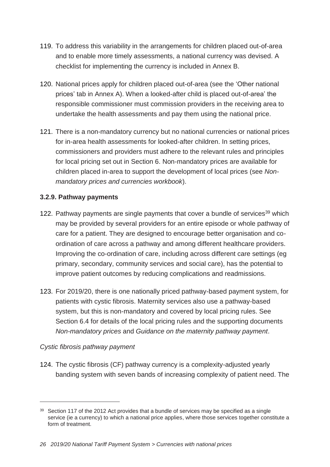- 119. To address this variability in the arrangements for children placed out-of-area and to enable more timely assessments, a national currency was devised. A checklist for implementing the currency is included in Annex B.
- 120. National prices apply for children placed out-of-area (see the 'Other national prices' tab in Annex A). When a looked-after child is placed out-of-area' the responsible commissioner must commission providers in the receiving area to undertake the health assessments and pay them using the national price.
- 121. There is a non-mandatory currency but no national currencies or national prices for in-area health assessments for looked-after children. In setting prices, commissioners and providers must adhere to the relevant rules and principles for local pricing set out in Section 6. Non-mandatory prices are available for children placed in-area to support the development of local prices (see *Nonmandatory prices and currencies workbook*).

# **3.2.9. Pathway payments**

- 122. Pathway payments are single payments that cover a bundle of services<sup>39</sup> which may be provided by several providers for an entire episode or whole pathway of care for a patient. They are designed to encourage better organisation and coordination of care across a pathway and among different healthcare providers. Improving the co-ordination of care, including across different care settings (eg primary, secondary, community services and social care), has the potential to improve patient outcomes by reducing complications and readmissions.
- 123. For 2019/20, there is one nationally priced pathway-based payment system, for patients with cystic fibrosis. Maternity services also use a pathway-based system, but this is non-mandatory and covered by local pricing rules. See Section 6.4 for details of the local pricing rules and the supporting documents *Non-mandatory prices* and *Guidance on the maternity pathway payment*.

# *Cystic fibrosis pathway payment*

-

124. The cystic fibrosis (CF) pathway currency is a complexity-adjusted yearly banding system with seven bands of increasing complexity of patient need. The

 $39$  Section 117 of the 2012 Act provides that a bundle of services may be specified as a single service (ie a currency) to which a national price applies, where those services together constitute a form of treatment.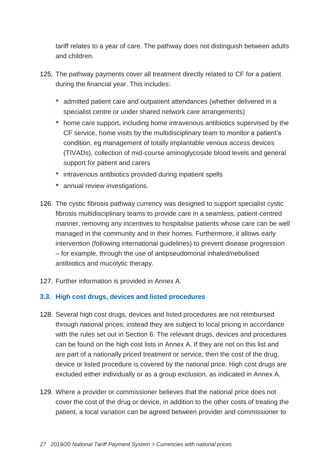tariff relates to a year of care. The pathway does not distinguish between adults and children.

- 125. The pathway payments cover all treatment directly related to CF for a patient during the financial year. This includes:
	- admitted patient care and outpatient attendances (whether delivered in a specialist centre or under shared network care arrangements)
	- home care support, including home intravenous antibiotics supervised by the CF service, home visits by the multidisciplinary team to monitor a patient's condition, eg management of totally implantable venous access devices (TIVADs), collection of mid-course aminoglycoside blood levels and general support for patient and carers
	- intravenous antibiotics provided during inpatient spells
	- annual review investigations.
- 126. The cystic fibrosis pathway currency was designed to support specialist cystic fibrosis multidisciplinary teams to provide care in a seamless, patient-centred manner, removing any incentives to hospitalise patients whose care can be well managed in the community and in their homes. Furthermore, it allows early intervention (following international guidelines) to prevent disease progression – for example, through the use of antipseudomonal inhaled/nebulised antibiotics and mucolytic therapy.
- 127. Further information is provided in Annex A.

# <span id="page-26-0"></span>**3.3. High cost drugs, devices and listed procedures**

- 128. Several high cost drugs, devices and listed procedures are not reimbursed through national prices; instead they are subject to local pricing in accordance with the rules set out in Section 6. The relevant drugs, devices and procedures can be found on the high cost lists in Annex A. If they are not on this list and are part of a nationally priced treatment or service, then the cost of the drug, device or listed procedure is covered by the national price. High cost drugs are excluded either individually or as a group exclusion, as indicated in Annex A.
- 129. Where a provider or commissioner believes that the national price does not cover the cost of the drug or device, in addition to the other costs of treating the patient, a local variation can be agreed between provider and commissioner to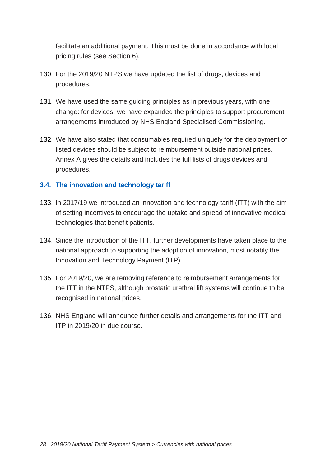facilitate an additional payment. This must be done in accordance with local pricing rules (see Section 6).

- 130. For the 2019/20 NTPS we have updated the list of drugs, devices and procedures.
- 131. We have used the same guiding principles as in previous years, with one change: for devices, we have expanded the principles to support procurement arrangements introduced by NHS England Specialised Commissioning.
- 132. We have also stated that consumables required uniquely for the deployment of listed devices should be subject to reimbursement outside national prices. Annex A gives the details and includes the full lists of drugs devices and procedures.

# <span id="page-27-0"></span>**3.4. The innovation and technology tariff**

- 133. In 2017/19 we introduced an innovation and technology tariff (ITT) with the aim of setting incentives to encourage the uptake and spread of innovative medical technologies that benefit patients.
- 134. Since the introduction of the ITT, further developments have taken place to the national approach to supporting the adoption of innovation, most notably the Innovation and Technology Payment (ITP).
- 135. For 2019/20, we are removing reference to reimbursement arrangements for the ITT in the NTPS, although prostatic urethral lift systems will continue to be recognised in national prices.
- 136. NHS England will announce further details and arrangements for the ITT and ITP in 2019/20 in due course.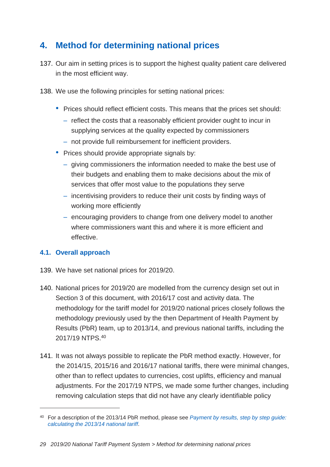# <span id="page-28-0"></span>**4. Method for determining national prices**

- 137. Our aim in setting prices is to support the highest quality patient care delivered in the most efficient way.
- 138. We use the following principles for setting national prices:
	- Prices should reflect efficient costs. This means that the prices set should:
		- reflect the costs that a reasonably efficient provider ought to incur in supplying services at the quality expected by commissioners
		- not provide full reimbursement for inefficient providers.
	- Prices should provide appropriate signals by:
		- giving commissioners the information needed to make the best use of their budgets and enabling them to make decisions about the mix of services that offer most value to the populations they serve
		- incentivising providers to reduce their unit costs by finding ways of working more efficiently
		- encouraging providers to change from one delivery model to another where commissioners want this and where it is more efficient and effective.

# <span id="page-28-1"></span>**4.1. Overall approach**

 $\overline{a}$ 

- 139. We have set national prices for 2019/20.
- 140. National prices for 2019/20 are modelled from the currency design set out in Section 3 of this document, with 2016/17 cost and activity data. The methodology for the tariff model for 2019/20 national prices closely follows the methodology previously used by the then Department of Health Payment by Results (PbR) team, up to 2013/14, and previous national tariffs, including the 2017/19 NTPS.<sup>40</sup>
- 141. It was not always possible to replicate the PbR method exactly. However, for the 2014/15, 2015/16 and 2016/17 national tariffs, there were minimal changes, other than to reflect updates to currencies, cost uplifts, efficiency and manual adjustments. For the 2017/19 NTPS, we made some further changes, including removing calculation steps that did not have any clearly identifiable policy

<sup>40</sup> For a description of the 2013/14 PbR method, please see *Payment [by results, step by step guide:](https://www.gov.uk/government/uploads/system/uploads/attachment_data/file/214905/Step-by-step-guide-to-calculating-the-2013-14-national-tariff.pdf)  [calculating the 2013/14 national tariff](https://www.gov.uk/government/uploads/system/uploads/attachment_data/file/214905/Step-by-step-guide-to-calculating-the-2013-14-national-tariff.pdf)*.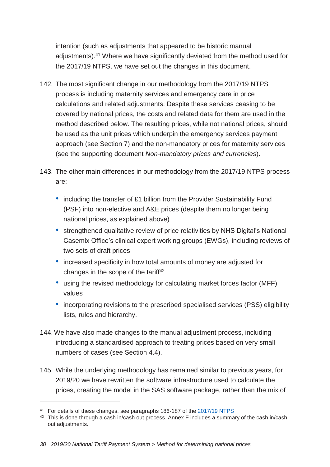intention (such as adjustments that appeared to be historic manual adjustments). <sup>41</sup> Where we have significantly deviated from the method used for the 2017/19 NTPS, we have set out the changes in this document.

- 142. The most significant change in our methodology from the 2017/19 NTPS process is including maternity services and emergency care in price calculations and related adjustments. Despite these services ceasing to be covered by national prices, the costs and related data for them are used in the method described below. The resulting prices, while not national prices, should be used as the unit prices which underpin the emergency services payment approach (see Section 7) and the non-mandatory prices for maternity services (see the supporting document *Non-mandatory prices and currencies*).
- 143. The other main differences in our methodology from the 2017/19 NTPS process are:
	- including the transfer of £1 billion from the Provider Sustainability Fund (PSF) into non-elective and A&E prices (despite them no longer being national prices, as explained above)
	- strengthened qualitative review of price relativities by NHS Digital's National Casemix Office's clinical expert working groups (EWGs), including reviews of two sets of draft prices
	- increased specificity in how total amounts of money are adjusted for changes in the scope of the tariff<sup>42</sup>
	- using the revised methodology for calculating market forces factor (MFF) values
	- incorporating revisions to the prescribed specialised services (PSS) eligibility lists, rules and hierarchy.
- 144. We have also made changes to the manual adjustment process, including introducing a standardised approach to treating prices based on very small numbers of cases (see Section 4.4).
- 145. While the underlying methodology has remained similar to previous years, for 2019/20 we have rewritten the software infrastructure used to calculate the prices, creating the model in the SAS software package, rather than the mix of

<sup>41</sup> For details of these changes, see paragraphs 186-187 of the [2017/19 NTPS](https://improvement.nhs.uk/documents/1044/2017-18_and_2018-19_National_Tariff_Payment_System.pdf#page=48)

<sup>&</sup>lt;sup>42</sup> This is done through a cash in/cash out process. Annex F includes a summary of the cash in/cash out adjustments.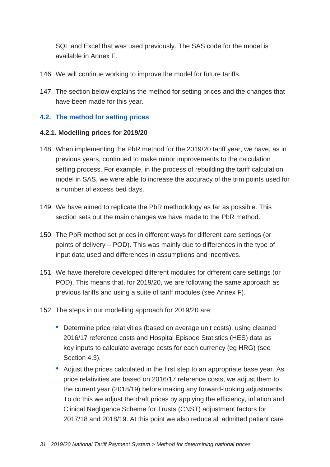SQL and Excel that was used previously. The SAS code for the model is available in Annex F.

- 146. We will continue working to improve the model for future tariffs.
- 147. The section below explains the method for setting prices and the changes that have been made for this year.

# <span id="page-30-0"></span>**4.2. The method for setting prices**

#### **4.2.1. Modelling prices for 2019/20**

- 148. When implementing the PbR method for the 2019/20 tariff year, we have, as in previous years, continued to make minor improvements to the calculation setting process. For example, in the process of rebuilding the tariff calculation model in SAS, we were able to increase the accuracy of the trim points used for a number of excess bed days.
- 149. We have aimed to replicate the PbR methodology as far as possible. This section sets out the main changes we have made to the PbR method.
- 150. The PbR method set prices in different ways for different care settings (or points of delivery – POD). This was mainly due to differences in the type of input data used and differences in assumptions and incentives.
- 151. We have therefore developed different modules for different care settings (or POD). This means that, for 2019/20, we are following the same approach as previous tariffs and using a suite of tariff modules (see Annex F).
- 152. The steps in our modelling approach for 2019/20 are:
	- Determine price relativities (based on average unit costs), using cleaned 2016/17 reference costs and Hospital Episode Statistics (HES) data as key inputs to calculate average costs for each currency (eg HRG) (see Section 4.3).
	- Adjust the prices calculated in the first step to an appropriate base year. As price relativities are based on 2016/17 reference costs, we adjust them to the current year (2018/19) before making any forward-looking adjustments. To do this we adjust the draft prices by applying the efficiency, inflation and Clinical Negligence Scheme for Trusts (CNST) adjustment factors for 2017/18 and 2018/19. At this point we also reduce all admitted patient care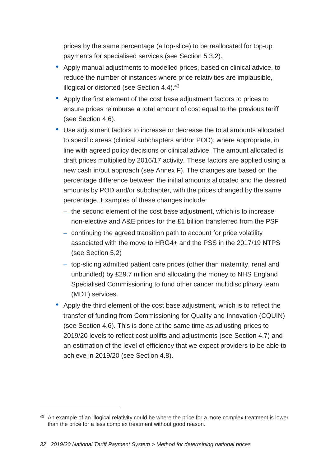prices by the same percentage (a top-slice) to be reallocated for top-up payments for specialised services (see Section 5.3.2).

- Apply manual adjustments to modelled prices, based on clinical advice, to reduce the number of instances where price relativities are implausible, illogical or distorted (see Section 4.4).<sup>43</sup>
- Apply the first element of the cost base adjustment factors to prices to ensure prices reimburse a total amount of cost equal to the previous tariff (see Section 4.6).
- Use adjustment factors to increase or decrease the total amounts allocated to specific areas (clinical subchapters and/or POD), where appropriate, in line with agreed policy decisions or clinical advice. The amount allocated is draft prices multiplied by 2016/17 activity. These factors are applied using a new cash in/out approach (see Annex F). The changes are based on the percentage difference between the initial amounts allocated and the desired amounts by POD and/or subchapter, with the prices changed by the same percentage. Examples of these changes include:
	- the second element of the cost base adjustment, which is to increase non-elective and A&E prices for the £1 billion transferred from the PSF
	- continuing the agreed transition path to account for price volatility associated with the move to HRG4+ and the PSS in the 2017/19 NTPS (see Section 5.2)
	- top-slicing admitted patient care prices (other than maternity, renal and unbundled) by £29.7 million and allocating the money to NHS England Specialised Commissioning to fund other cancer multidisciplinary team (MDT) services.
- Apply the third element of the cost base adjustment, which is to reflect the transfer of funding from Commissioning for Quality and Innovation (CQUIN) (see Section 4.6). This is done at the same time as adjusting prices to 2019/20 levels to reflect cost uplifts and adjustments (see Section 4.7) and an estimation of the level of efficiency that we expect providers to be able to achieve in 2019/20 (see Section 4.8).

 $\overline{a}$ 

<sup>&</sup>lt;sup>43</sup> An example of an illogical relativity could be where the price for a more complex treatment is lower than the price for a less complex treatment without good reason.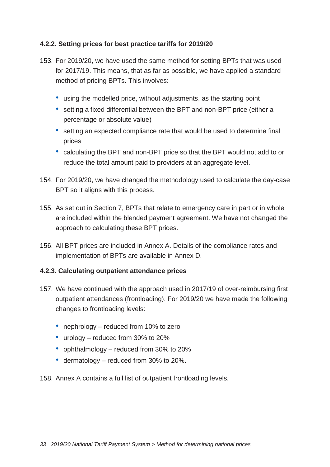# **4.2.2. Setting prices for best practice tariffs for 2019/20**

- 153. For 2019/20, we have used the same method for setting BPTs that was used for 2017/19. This means, that as far as possible, we have applied a standard method of pricing BPTs. This involves:
	- using the modelled price, without adjustments, as the starting point
	- setting a fixed differential between the BPT and non-BPT price (either a percentage or absolute value)
	- setting an expected compliance rate that would be used to determine final prices
	- calculating the BPT and non-BPT price so that the BPT would not add to or reduce the total amount paid to providers at an aggregate level.
- 154. For 2019/20, we have changed the methodology used to calculate the day-case BPT so it aligns with this process.
- 155. As set out in Section 7, BPTs that relate to emergency care in part or in whole are included within the blended payment agreement. We have not changed the approach to calculating these BPT prices.
- 156. All BPT prices are included in Annex A. Details of the compliance rates and implementation of BPTs are available in Annex D.

#### **4.2.3. Calculating outpatient attendance prices**

- 157. We have continued with the approach used in 2017/19 of over-reimbursing first outpatient attendances (frontloading). For 2019/20 we have made the following changes to frontloading levels:
	- nephrology reduced from 10% to zero
	- urology reduced from 30% to 20%
	- ophthalmology reduced from 30% to 20%
	- dermatology reduced from 30% to 20%.
- 158. Annex A contains a full list of outpatient frontloading levels.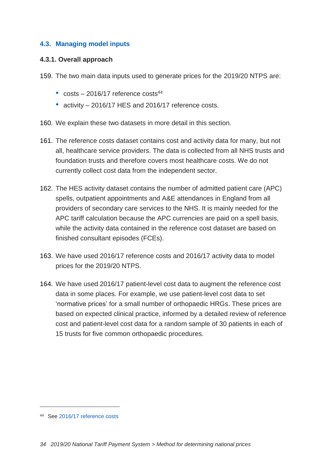# <span id="page-33-0"></span>**4.3. Managing model inputs**

#### **4.3.1. Overall approach**

- 159. The two main data inputs used to generate prices for the 2019/20 NTPS are:
	- $\cdot$  costs  $-$  2016/17 reference costs<sup>44</sup>
	- activity 2016/17 HES and 2016/17 reference costs.
- 160. We explain these two datasets in more detail in this section.
- 161. The reference costs dataset contains cost and activity data for many, but not all, healthcare service providers. The data is collected from all NHS trusts and foundation trusts and therefore covers most healthcare costs. We do not currently collect cost data from the independent sector.
- 162. The HES activity dataset contains the number of admitted patient care (APC) spells, outpatient appointments and A&E attendances in England from all providers of secondary care services to the NHS. It is mainly needed for the APC tariff calculation because the APC currencies are paid on a spell basis, while the activity data contained in the reference cost dataset are based on finished consultant episodes (FCEs).
- 163. We have used 2016/17 reference costs and 2016/17 activity data to model prices for the 2019/20 NTPS.
- 164. We have used 2016/17 patient-level cost data to augment the reference cost data in some places. For example, we use patient-level cost data to set 'normative prices' for a small number of orthopaedic HRGs. These prices are based on expected clinical practice, informed by a detailed review of reference cost and patient-level cost data for a random sample of 30 patients in each of 15 trusts for five common orthopaedic procedures.

<sup>44</sup> See [2016/17 reference costs](https://improvement.nhs.uk/resources/reference-costs/#archive)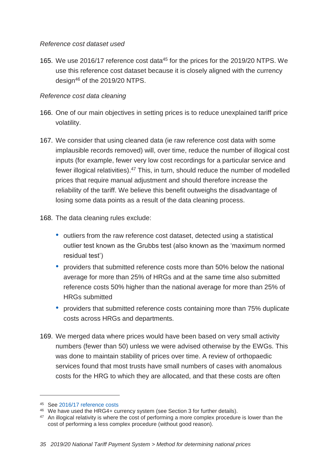#### *Reference cost dataset used*

165. We use 2016/17 reference cost data<sup>45</sup> for the prices for the 2019/20 NTPS. We use this reference cost dataset because it is closely aligned with the currency design<sup>46</sup> of the 2019/20 NTPS.

# *Reference cost data cleaning*

- 166. One of our main objectives in setting prices is to reduce unexplained tariff price volatility.
- 167. We consider that using cleaned data (ie raw reference cost data with some implausible records removed) will, over time, reduce the number of illogical cost inputs (for example, fewer very low cost recordings for a particular service and fewer illogical relativities).<sup>47</sup> This, in turn, should reduce the number of modelled prices that require manual adjustment and should therefore increase the reliability of the tariff. We believe this benefit outweighs the disadvantage of losing some data points as a result of the data cleaning process.
- 168. The data cleaning rules exclude:
	- outliers from the raw reference cost dataset, detected using a statistical outlier test known as the Grubbs test (also known as the 'maximum normed residual test')
	- providers that submitted reference costs more than 50% below the national average for more than 25% of HRGs and at the same time also submitted reference costs 50% higher than the national average for more than 25% of HRGs submitted
	- providers that submitted reference costs containing more than 75% duplicate costs across HRGs and departments.
- 169. We merged data where prices would have been based on very small activity numbers (fewer than 50) unless we were advised otherwise by the EWGs. This was done to maintain stability of prices over time. A review of orthopaedic services found that most trusts have small numbers of cases with anomalous costs for the HRG to which they are allocated, and that these costs are often

<sup>45</sup> See [2016/17 reference costs](https://improvement.nhs.uk/resources/reference-costs/#archive)

<sup>46</sup> We have used the HRG4+ currency system (see Section 3 for further details).

<sup>&</sup>lt;sup>47</sup> An illogical relativity is where the cost of performing a more complex procedure is lower than the cost of performing a less complex procedure (without good reason).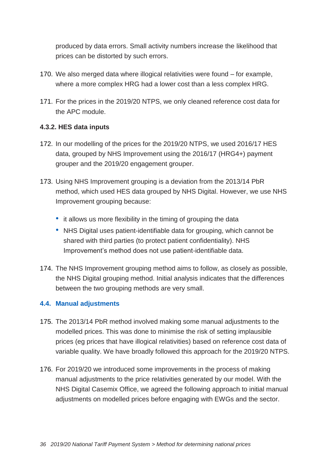produced by data errors. Small activity numbers increase the likelihood that prices can be distorted by such errors.

- 170. We also merged data where illogical relativities were found for example, where a more complex HRG had a lower cost than a less complex HRG.
- 171. For the prices in the 2019/20 NTPS, we only cleaned reference cost data for the APC module.

# **4.3.2. HES data inputs**

- 172. In our modelling of the prices for the 2019/20 NTPS, we used 2016/17 HES data, grouped by NHS Improvement using the 2016/17 (HRG4+) payment grouper and the 2019/20 engagement grouper.
- 173. Using NHS Improvement grouping is a deviation from the 2013/14 PbR method, which used HES data grouped by NHS Digital. However, we use NHS Improvement grouping because:
	- it allows us more flexibility in the timing of grouping the data
	- NHS Digital uses patient-identifiable data for grouping, which cannot be shared with third parties (to protect patient confidentiality). NHS Improvement's method does not use patient-identifiable data.
- 174. The NHS Improvement grouping method aims to follow, as closely as possible, the NHS Digital grouping method. Initial analysis indicates that the differences between the two grouping methods are very small.

# <span id="page-35-0"></span>**4.4. Manual adjustments**

- 175. The 2013/14 PbR method involved making some manual adjustments to the modelled prices. This was done to minimise the risk of setting implausible prices (eg prices that have illogical relativities) based on reference cost data of variable quality. We have broadly followed this approach for the 2019/20 NTPS.
- 176. For 2019/20 we introduced some improvements in the process of making manual adjustments to the price relativities generated by our model. With the NHS Digital Casemix Office, we agreed the following approach to initial manual adjustments on modelled prices before engaging with EWGs and the sector.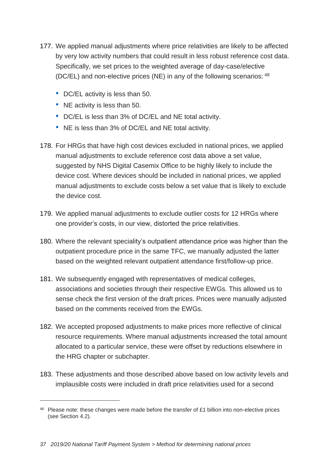- 177. We applied manual adjustments where price relativities are likely to be affected by very low activity numbers that could result in less robust reference cost data. Specifically, we set prices to the weighted average of day-case/elective (DC/EL) and non-elective prices (NE) in any of the following scenarios: <sup>48</sup>
	- DC/EL activity is less than 50.
	- NE activity is less than 50.
	- DC/EL is less than 3% of DC/EL and NE total activity.
	- NE is less than 3% of DC/EL and NE total activity.
- 178. For HRGs that have high cost devices excluded in national prices, we applied manual adjustments to exclude reference cost data above a set value, suggested by NHS Digital Casemix Office to be highly likely to include the device cost. Where devices should be included in national prices, we applied manual adjustments to exclude costs below a set value that is likely to exclude the device cost.
- 179. We applied manual adjustments to exclude outlier costs for 12 HRGs where one provider's costs, in our view, distorted the price relativities.
- 180. Where the relevant speciality's outpatient attendance price was higher than the outpatient procedure price in the same TFC, we manually adjusted the latter based on the weighted relevant outpatient attendance first/follow-up price.
- 181. We subsequently engaged with representatives of medical colleges, associations and societies through their respective EWGs. This allowed us to sense check the first version of the draft prices. Prices were manually adjusted based on the comments received from the EWGs.
- 182. We accepted proposed adjustments to make prices more reflective of clinical resource requirements. Where manual adjustments increased the total amount allocated to a particular service, these were offset by reductions elsewhere in the HRG chapter or subchapter.
- 183. These adjustments and those described above based on low activity levels and implausible costs were included in draft price relativities used for a second

<sup>48</sup> Please note: these changes were made before the transfer of £1 billion into non-elective prices (see Section 4.2).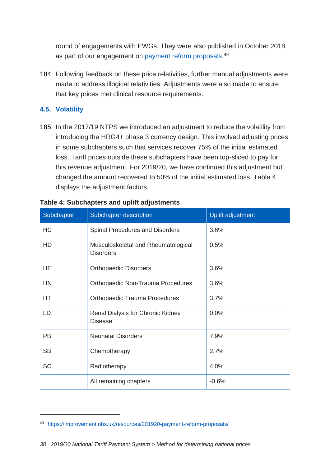round of engagements with EWGs. They were also published in October 2018 as part of our engagement on [payment reform proposals.](https://improvement.nhs.uk/resources/201920-payment-reform-proposals/)<sup>49</sup>

184. Following feedback on these price relativities, further manual adjustments were made to address illogical relativities. Adjustments were also made to ensure that key prices met clinical resource requirements.

### **4.5. Volatility**

 $\overline{a}$ 

185. In the 2017/19 NTPS we introduced an adjustment to reduce the volatility from introducing the HRG4+ phase 3 currency design. This involved adjusting prices in some subchapters such that services recover 75% of the initial estimated loss. Tariff prices outside these subchapters have been top-sliced to pay for this revenue adjustment. For 2019/20, we have continued this adjustment but changed the amount recovered to 50% of the initial estimated loss. Table 4 displays the adjustment factors.

| Subchapter | Subchapter description                                  | <b>Uplift adjustment</b> |
|------------|---------------------------------------------------------|--------------------------|
| HC         | Spinal Procedures and Disorders                         | 3.6%                     |
| HD         | Musculoskeletal and Rheumatological<br><b>Disorders</b> | 0.5%                     |
| HE         | <b>Orthopaedic Disorders</b>                            | 3.6%                     |
| <b>HN</b>  | Orthopaedic Non-Trauma Procedures                       | 3.6%                     |
| <b>HT</b>  | <b>Orthopaedic Trauma Procedures</b>                    | 3.7%                     |
| LD         | Renal Dialysis for Chronic Kidney<br><b>Disease</b>     | 0.0%                     |
| <b>PB</b>  | <b>Neonatal Disorders</b>                               | 7.9%                     |
| <b>SB</b>  | Chemotherapy                                            | 2.7%                     |
| <b>SC</b>  | Radiotherapy                                            | 4.0%                     |
|            | All remaining chapters                                  | $-0.6%$                  |

### **Table 4: Subchapters and uplift adjustments**

<sup>49</sup> <https://improvement.nhs.uk/resources/201920-payment-reform-proposals/>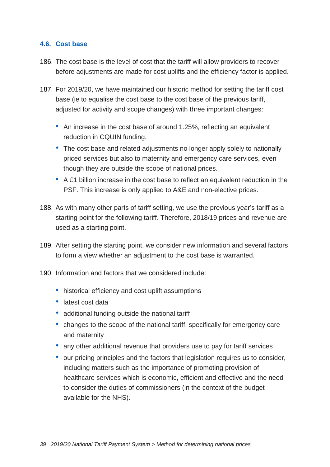#### **4.6. Cost base**

- 186. The cost base is the level of cost that the tariff will allow providers to recover before adjustments are made for cost uplifts and the efficiency factor is applied.
- 187. For 2019/20, we have maintained our historic method for setting the tariff cost base (ie to equalise the cost base to the cost base of the previous tariff, adjusted for activity and scope changes) with three important changes:
	- An increase in the cost base of around 1.25%, reflecting an equivalent reduction in CQUIN funding.
	- The cost base and related adjustments no longer apply solely to nationally priced services but also to maternity and emergency care services, even though they are outside the scope of national prices.
	- A £1 billion increase in the cost base to reflect an equivalent reduction in the PSF. This increase is only applied to A&E and non-elective prices.
- 188. As with many other parts of tariff setting, we use the previous year's tariff as a starting point for the following tariff. Therefore, 2018/19 prices and revenue are used as a starting point.
- 189. After setting the starting point, we consider new information and several factors to form a view whether an adjustment to the cost base is warranted.
- 190. Information and factors that we considered include:
	- historical efficiency and cost uplift assumptions
	- latest cost data
	- additional funding outside the national tariff
	- changes to the scope of the national tariff, specifically for emergency care and maternity
	- any other additional revenue that providers use to pay for tariff services
	- our pricing principles and the factors that legislation requires us to consider, including matters such as the importance of promoting provision of healthcare services which is economic, efficient and effective and the need to consider the duties of commissioners (in the context of the budget available for the NHS).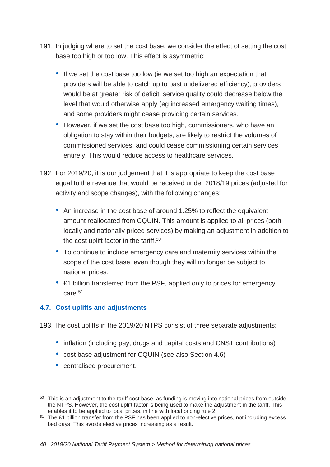- 191. In judging where to set the cost base, we consider the effect of setting the cost base too high or too low. This effect is asymmetric:
	- If we set the cost base too low (ie we set too high an expectation that providers will be able to catch up to past undelivered efficiency), providers would be at greater risk of deficit, service quality could decrease below the level that would otherwise apply (eg increased emergency waiting times), and some providers might cease providing certain services.
	- However, if we set the cost base too high, commissioners, who have an obligation to stay within their budgets, are likely to restrict the volumes of commissioned services, and could cease commissioning certain services entirely. This would reduce access to healthcare services.
- 192. For 2019/20, it is our judgement that it is appropriate to keep the cost base equal to the revenue that would be received under 2018/19 prices (adjusted for activity and scope changes), with the following changes:
	- An increase in the cost base of around 1.25% to reflect the equivalent amount reallocated from CQUIN. This amount is applied to all prices (both locally and nationally priced services) by making an adjustment in addition to the cost uplift factor in the tariff.<sup>50</sup>
	- To continue to include emergency care and maternity services within the scope of the cost base, even though they will no longer be subject to national prices.
	- £1 billion transferred from the PSF, applied only to prices for emergency care.<sup>51</sup>

# **4.7. Cost uplifts and adjustments**

193. The cost uplifts in the 2019/20 NTPS consist of three separate adjustments:

- inflation (including pay, drugs and capital costs and CNST contributions)
- cost base adjustment for CQUIN (see also Section 4.6)
- centralised procurement.

<sup>&</sup>lt;sup>50</sup> This is an adjustment to the tariff cost base, as funding is moving into national prices from outside the NTPS. However, the cost uplift factor is being used to make the adjustment in the tariff. This enables it to be applied to local prices, in line with local pricing rule 2.

<sup>&</sup>lt;sup>51</sup> The £1 billion transfer from the PSF has been applied to non-elective prices, not including excess bed days. This avoids elective prices increasing as a result.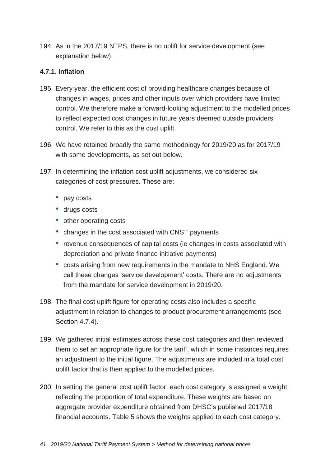194. As in the 2017/19 NTPS, there is no uplift for service development (see explanation below).

### **4.7.1. Inflation**

- 195. Every year, the efficient cost of providing healthcare changes because of changes in wages, prices and other inputs over which providers have limited control. We therefore make a forward-looking adjustment to the modelled prices to reflect expected cost changes in future years deemed outside providers' control. We refer to this as the cost uplift.
- 196. We have retained broadly the same methodology for 2019/20 as for 2017/19 with some developments, as set out below.
- 197. In determining the inflation cost uplift adjustments, we considered six categories of cost pressures. These are:
	- pay costs
	- drugs costs
	- other operating costs
	- changes in the cost associated with CNST payments
	- revenue consequences of capital costs (ie changes in costs associated with depreciation and private finance initiative payments)
	- costs arising from new requirements in the mandate to NHS England. We call these changes 'service development' costs. There are no adjustments from the mandate for service development in 2019/20.
- 198. The final cost uplift figure for operating costs also includes a specific adjustment in relation to changes to product procurement arrangements (see Section 4.7.4).
- 199. We gathered initial estimates across these cost categories and then reviewed them to set an appropriate figure for the tariff, which in some instances requires an adjustment to the initial figure. The adjustments are included in a total cost uplift factor that is then applied to the modelled prices.
- 200. In setting the general cost uplift factor, each cost category is assigned a weight reflecting the proportion of total expenditure. These weights are based on aggregate provider expenditure obtained from DHSC's published 2017/18 financial accounts. Table 5 shows the weights applied to each cost category.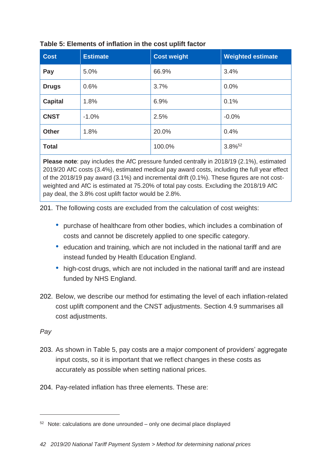| <b>Cost</b>    | <b>Estimate</b> | <b>Cost weight</b> | <b>Weighted estimate</b> |
|----------------|-----------------|--------------------|--------------------------|
| Pay            | 5.0%            | 66.9%              | 3.4%                     |
| <b>Drugs</b>   | 0.6%            | 3.7%               | 0.0%                     |
| <b>Capital</b> | 1.8%            | 6.9%               | 0.1%                     |
| <b>CNST</b>    | $-1.0%$         | 2.5%               | $-0.0%$                  |
| <b>Other</b>   | 1.8%            | 20.0%              | 0.4%                     |
| <b>Total</b>   |                 | 100.0%             | 3.8% <sup>52</sup>       |

### **Table 5: Elements of inflation in the cost uplift factor**

**Please note**: pay includes the AfC pressure funded centrally in 2018/19 (2.1%), estimated 2019/20 AfC costs (3.4%), estimated medical pay award costs, including the full year effect of the 2018/19 pay award (3.1%) and incremental drift (0.1%). These figures are not costweighted and AfC is estimated at 75.20% of total pay costs. Excluding the 2018/19 AfC pay deal, the 3.8% cost uplift factor would be 2.8%.

201. The following costs are excluded from the calculation of cost weights:

- purchase of healthcare from other bodies, which includes a combination of costs and cannot be discretely applied to one specific category.
- education and training, which are not included in the national tariff and are instead funded by Health Education England.
- high-cost drugs, which are not included in the national tariff and are instead funded by NHS England.
- 202. Below, we describe our method for estimating the level of each inflation-related cost uplift component and the CNST adjustments. Section 4.9 summarises all cost adjustments.

### *Pay*

- 203. As shown in Table 5, pay costs are a major component of providers' aggregate input costs, so it is important that we reflect changes in these costs as accurately as possible when setting national prices.
- 204. Pay-related inflation has three elements. These are:

 $52$  Note: calculations are done unrounded – only one decimal place displayed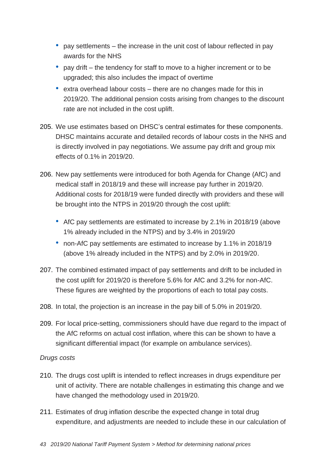- pay settlements the increase in the unit cost of labour reflected in pay awards for the NHS
- pay drift the tendency for staff to move to a higher increment or to be upgraded; this also includes the impact of overtime
- extra overhead labour costs there are no changes made for this in 2019/20. The additional pension costs arising from changes to the discount rate are not included in the cost uplift.
- 205. We use estimates based on DHSC's central estimates for these components. DHSC maintains accurate and detailed records of labour costs in the NHS and is directly involved in pay negotiations. We assume pay drift and group mix effects of 0.1% in 2019/20.
- 206. New pay settlements were introduced for both Agenda for Change (AfC) and medical staff in 2018/19 and these will increase pay further in 2019/20. Additional costs for 2018/19 were funded directly with providers and these will be brought into the NTPS in 2019/20 through the cost uplift:
	- AfC pay settlements are estimated to increase by 2.1% in 2018/19 (above 1% already included in the NTPS) and by 3.4% in 2019/20
	- non-AfC pay settlements are estimated to increase by 1.1% in 2018/19 (above 1% already included in the NTPS) and by 2.0% in 2019/20.
- 207. The combined estimated impact of pay settlements and drift to be included in the cost uplift for 2019/20 is therefore 5.6% for AfC and 3.2% for non-AfC. These figures are weighted by the proportions of each to total pay costs.
- 208. In total, the projection is an increase in the pay bill of 5.0% in 2019/20.
- 209. For local price-setting, commissioners should have due regard to the impact of the AfC reforms on actual cost inflation, where this can be shown to have a significant differential impact (for example on ambulance services).

### *Drugs costs*

- 210. The drugs cost uplift is intended to reflect increases in drugs expenditure per unit of activity. There are notable challenges in estimating this change and we have changed the methodology used in 2019/20.
- 211. Estimates of drug inflation describe the expected change in total drug expenditure, and adjustments are needed to include these in our calculation of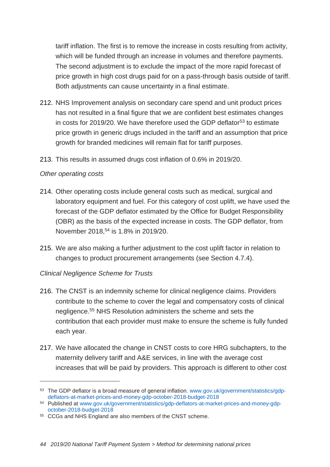tariff inflation. The first is to remove the increase in costs resulting from activity, which will be funded through an increase in volumes and therefore payments. The second adjustment is to exclude the impact of the more rapid forecast of price growth in high cost drugs paid for on a pass-through basis outside of tariff. Both adjustments can cause uncertainty in a final estimate.

- 212. NHS Improvement analysis on secondary care spend and unit product prices has not resulted in a final figure that we are confident best estimates changes in costs for 2019/20. We have therefore used the GDP deflator<sup>53</sup> to estimate price growth in generic drugs included in the tariff and an assumption that price growth for branded medicines will remain flat for tariff purposes.
- 213. This results in assumed drugs cost inflation of 0.6% in 2019/20.

#### *Other operating costs*

 $\overline{a}$ 

- 214. Other operating costs include general costs such as medical, surgical and laboratory equipment and fuel. For this category of cost uplift, we have used the forecast of the GDP deflator estimated by the Office for Budget Responsibility (OBR) as the basis of the expected increase in costs. The GDP deflator, from November 2018,<sup>54</sup> is 1.8% in 2019/20.
- 215. We are also making a further adjustment to the cost uplift factor in relation to changes to product procurement arrangements (see Section 4.7.4).

### *Clinical Negligence Scheme for Trusts*

- 216. The CNST is an indemnity scheme for clinical negligence claims. Providers contribute to the scheme to cover the legal and compensatory costs of clinical negligence.<sup>55</sup> NHS Resolution administers the scheme and sets the contribution that each provider must make to ensure the scheme is fully funded each year.
- 217. We have allocated the change in CNST costs to core HRG subchapters, to the maternity delivery tariff and A&E services, in line with the average cost increases that will be paid by providers. This approach is different to other cost

<sup>53</sup> The GDP deflator is a broad measure of general inflation. [www.gov.uk/government/statistics/gdp](http://www.gov.uk/government/statistics/gdp-deflators-at-market-prices-and-money-gdp-october-2018-budget-2018)[deflators-at-market-prices-and-money-gdp-october-2018-budget-2018](http://www.gov.uk/government/statistics/gdp-deflators-at-market-prices-and-money-gdp-october-2018-budget-2018)

<sup>54</sup> Published at [www.gov.uk/government/statistics/gdp-deflators-at-market-prices-and-money-gdp](http://www.gov.uk/government/statistics/gdp-deflators-at-market-prices-and-money-gdp-october-2018-budget-2018)[october-2018-budget-2018](http://www.gov.uk/government/statistics/gdp-deflators-at-market-prices-and-money-gdp-october-2018-budget-2018)

<sup>55</sup> CCGs and NHS England are also members of the CNST scheme.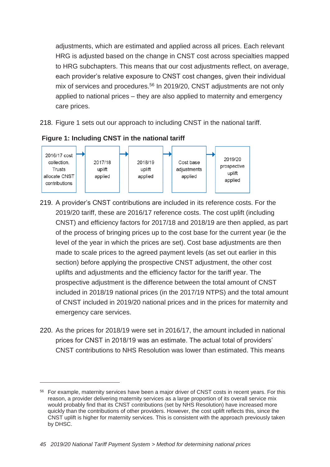adjustments, which are estimated and applied across all prices. Each relevant HRG is adjusted based on the change in CNST cost across specialties mapped to HRG subchapters. This means that our cost adjustments reflect, on average, each provider's relative exposure to CNST cost changes, given their individual mix of services and procedures.<sup>56</sup> In 2019/20, CNST adjustments are not only applied to national prices – they are also applied to maternity and emergency care prices.

218. Figure 1 sets out our approach to including CNST in the national tariff.



**Figure 1: Including CNST in the national tariff**

- 219. A provider's CNST contributions are included in its reference costs. For the 2019/20 tariff, these are 2016/17 reference costs. The cost uplift (including CNST) and efficiency factors for 2017/18 and 2018/19 are then applied, as part of the process of bringing prices up to the cost base for the current year (ie the level of the year in which the prices are set). Cost base adjustments are then made to scale prices to the agreed payment levels (as set out earlier in this section) before applying the prospective CNST adjustment, the other cost uplifts and adjustments and the efficiency factor for the tariff year. The prospective adjustment is the difference between the total amount of CNST included in 2018/19 national prices (in the 2017/19 NTPS) and the total amount of CNST included in 2019/20 national prices and in the prices for maternity and emergency care services.
- 220. As the prices for 2018/19 were set in 2016/17, the amount included in national prices for CNST in 2018/19 was an estimate. The actual total of providers' CNST contributions to NHS Resolution was lower than estimated. This means

<sup>&</sup>lt;sup>56</sup> For example, maternity services have been a major driver of CNST costs in recent years. For this reason, a provider delivering maternity services as a large proportion of its overall service mix would probably find that its CNST contributions (set by NHS Resolution) have increased more quickly than the contributions of other providers. However, the cost uplift reflects this, since the CNST uplift is higher for maternity services. This is consistent with the approach previously taken by DHSC.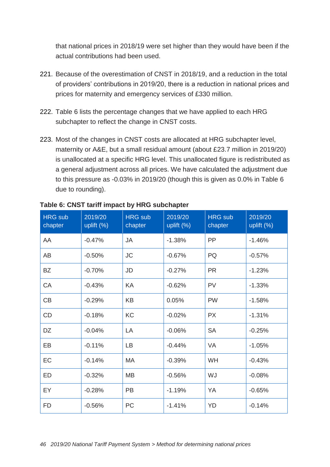that national prices in 2018/19 were set higher than they would have been if the actual contributions had been used.

- 221. Because of the overestimation of CNST in 2018/19, and a reduction in the total of providers' contributions in 2019/20, there is a reduction in national prices and prices for maternity and emergency services of £330 million.
- 222. Table 6 lists the percentage changes that we have applied to each HRG subchapter to reflect the change in CNST costs.
- 223. Most of the changes in CNST costs are allocated at HRG subchapter level, maternity or A&E, but a small residual amount (about £23.7 million in 2019/20) is unallocated at a specific HRG level. This unallocated figure is redistributed as a general adjustment across all prices. We have calculated the adjustment due to this pressure as -0.03% in 2019/20 (though this is given as 0.0% in Table 6 due to rounding).

| <b>HRG</b> sub<br>chapter | 2019/20<br>uplift $(\%)$ | <b>HRG</b> sub<br>chapter | 2019/20<br>uplift $(\%)$ | <b>HRG</b> sub<br>chapter | 2019/20<br>uplift $(\%)$ |
|---------------------------|--------------------------|---------------------------|--------------------------|---------------------------|--------------------------|
| AA                        | $-0.47%$                 | <b>JA</b>                 | $-1.38%$                 | PP                        | $-1.46%$                 |
| AB                        | $-0.50%$                 | <b>JC</b>                 | $-0.67%$                 | <b>PQ</b>                 | $-0.57%$                 |
| <b>BZ</b>                 | $-0.70%$                 | JD                        | $-0.27%$                 | <b>PR</b>                 | $-1.23%$                 |
| CA                        | $-0.43%$                 | KA                        | $-0.62%$                 | <b>PV</b>                 | $-1.33%$                 |
| CB                        | $-0.29%$                 | <b>KB</b>                 | 0.05%                    | <b>PW</b>                 | $-1.58%$                 |
| CD                        | $-0.18%$                 | KC                        | $-0.02%$                 | <b>PX</b>                 | $-1.31%$                 |
| DZ                        | $-0.04%$                 | LA                        | $-0.06%$                 | <b>SA</b>                 | $-0.25%$                 |
| EB                        | $-0.11%$                 | LB                        | $-0.44%$                 | VA                        | $-1.05%$                 |
| EC                        | $-0.14%$                 | MA                        | $-0.39%$                 | WH                        | $-0.43%$                 |
| <b>ED</b>                 | $-0.32%$                 | <b>MB</b>                 | $-0.56%$                 | WJ                        | $-0.08%$                 |
| EY.                       | $-0.28%$                 | <b>PB</b>                 | $-1.19%$                 | YA                        | $-0.65%$                 |
| <b>FD</b>                 | $-0.56%$                 | PC                        | $-1.41%$                 | YD                        | $-0.14%$                 |

### **Table 6: CNST tariff impact by HRG subchapter**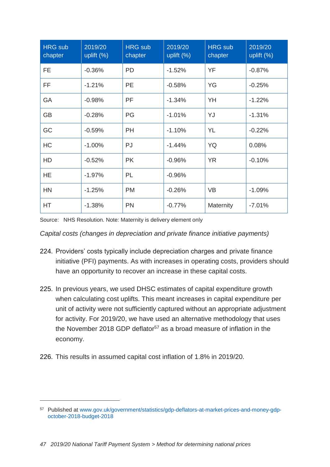| <b>HRG</b> sub<br>chapter | 2019/20<br>uplift $(\%)$ | <b>HRG</b> sub<br>chapter | 2019/20<br>uplift $(\%)$ | <b>HRG</b> sub<br>chapter | 2019/20<br>uplift (%) |
|---------------------------|--------------------------|---------------------------|--------------------------|---------------------------|-----------------------|
| <b>FE</b>                 | $-0.36%$                 | <b>PD</b>                 | $-1.52%$                 | <b>YF</b>                 | $-0.87%$              |
| FF                        | $-1.21%$                 | <b>PE</b>                 | $-0.58%$                 | YG                        | $-0.25%$              |
| GA                        | $-0.98%$                 | PF                        | $-1.34%$                 | YH                        | $-1.22%$              |
| <b>GB</b>                 | $-0.28%$                 | PG                        | $-1.01%$                 | YJ                        | $-1.31%$              |
| GC                        | $-0.59%$                 | <b>PH</b>                 | $-1.10%$                 | <b>YL</b>                 | $-0.22%$              |
| HC                        | $-1.00%$                 | PJ                        | $-1.44%$                 | YQ                        | 0.08%                 |
| HD                        | $-0.52%$                 | <b>PK</b>                 | $-0.96%$                 | <b>YR</b>                 | $-0.10%$              |
| <b>HE</b>                 | $-1.97%$                 | PL                        | $-0.96%$                 |                           |                       |
| <b>HN</b>                 | $-1.25%$                 | <b>PM</b>                 | $-0.26%$                 | <b>VB</b>                 | $-1.09%$              |
| HT                        | $-1.38%$                 | <b>PN</b>                 | $-0.77%$                 | Maternity                 | $-7.01%$              |

Source: NHS Resolution. Note: Maternity is delivery element only

*Capital costs (changes in depreciation and private finance initiative payments)* 

- 224. Providers' costs typically include depreciation charges and private finance initiative (PFI) payments. As with increases in operating costs, providers should have an opportunity to recover an increase in these capital costs.
- 225. In previous years, we used DHSC estimates of capital expenditure growth when calculating cost uplifts. This meant increases in capital expenditure per unit of activity were not sufficiently captured without an appropriate adjustment for activity. For 2019/20, we have used an alternative methodology that uses the November 2018 GDP deflator<sup>57</sup> as a broad measure of inflation in the economy.
- 226. This results in assumed capital cost inflation of 1.8% in 2019/20.

<sup>57</sup> Published at [www.gov.uk/government/statistics/gdp-deflators-at-market-prices-and-money-gdp](http://www.gov.uk/government/statistics/gdp-deflators-at-market-prices-and-money-gdp-october-2018-budget-2018)[october-2018-budget-2018](http://www.gov.uk/government/statistics/gdp-deflators-at-market-prices-and-money-gdp-october-2018-budget-2018)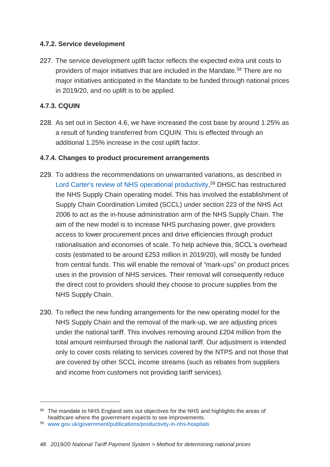### **4.7.2. Service development**

227. The service development uplift factor reflects the expected extra unit costs to providers of major initiatives that are included in the Mandate.<sup>58</sup> There are no major initiatives anticipated in the Mandate to be funded through national prices in 2019/20, and no uplift is to be applied.

# **4.7.3. CQUIN**

 $\overline{a}$ 

228. As set out in Section 4.6, we have increased the cost base by around 1.25% as a result of funding transferred from CQUIN. This is effected through an additional 1.25% increase in the cost uplift factor.

### **4.7.4. Changes to product procurement arrangements**

- 229. To address the recommendations on unwarranted variations, as described in [Lord Carter's review of NHS operational productivity,](https://www.gov.uk/government/publications/productivity-in-nhs-hospitals) <sup>59</sup> DHSC has restructured the NHS Supply Chain operating model. This has involved the establishment of Supply Chain Coordination Limited (SCCL) under section 223 of the NHS Act 2006 to act as the in-house administration arm of the NHS Supply Chain. The aim of the new model is to increase NHS purchasing power, give providers access to lower procurement prices and drive efficiencies through product rationalisation and economies of scale. To help achieve this, SCCL's overhead costs (estimated to be around £253 million in 2019/20), will mostly be funded from central funds. This will enable the removal of "mark-ups" on product prices uses in the provision of NHS services. Their removal will consequently reduce the direct cost to providers should they choose to procure supplies from the NHS Supply Chain.
- 230. To reflect the new funding arrangements for the new operating model for the NHS Supply Chain and the removal of the mark-up, we are adjusting prices under the national tariff. This involves removing around £204 million from the total amount reimbursed through the national tariff. Our adjustment is intended only to cover costs relating to services covered by the NTPS and not those that are covered by other SCCL income streams (such as rebates from suppliers and income from customers not providing tariff services).

<sup>&</sup>lt;sup>58</sup> The mandate to NHS England sets out objectives for the NHS and highlights the areas of healthcare where the government expects to see improvements.

<sup>59</sup> [www.gov.uk/government/publications/productivity-in-nhs-hospitals](http://www.gov.uk/government/publications/productivity-in-nhs-hospitals)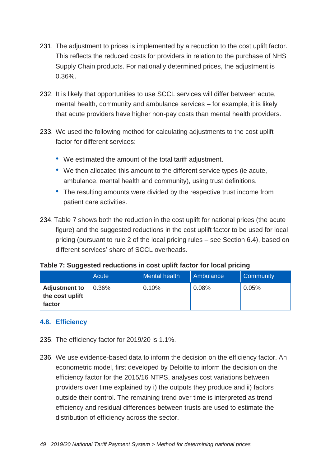- 231. The adjustment to prices is implemented by a reduction to the cost uplift factor. This reflects the reduced costs for providers in relation to the purchase of NHS Supply Chain products. For nationally determined prices, the adjustment is 0.36%.
- 232. It is likely that opportunities to use SCCL services will differ between acute, mental health, community and ambulance services – for example, it is likely that acute providers have higher non-pay costs than mental health providers.
- 233. We used the following method for calculating adjustments to the cost uplift factor for different services:
	- We estimated the amount of the total tariff adjustment.
	- We then allocated this amount to the different service types (ie acute, ambulance, mental health and community), using trust definitions.
	- The resulting amounts were divided by the respective trust income from patient care activities.
- 234. Table 7 shows both the reduction in the cost uplift for national prices (the acute figure) and the suggested reductions in the cost uplift factor to be used for local pricing (pursuant to rule 2 of the local pricing rules – see Section 6.4), based on different services' share of SCCL overheads.

| Table 7: Suggested reductions in cost uplift factor for local pricing |  |  |
|-----------------------------------------------------------------------|--|--|
|-----------------------------------------------------------------------|--|--|

|                                                   | Acute | <b>Mental health</b> | Ambulance | <b>Community</b> |
|---------------------------------------------------|-------|----------------------|-----------|------------------|
| <b>Adjustment to</b><br>the cost uplift<br>factor | 0.36% | 0.10%                | 0.08%     | 0.05%            |

### **4.8. Efficiency**

- 235. The efficiency factor for 2019/20 is 1.1%.
- 236. We use evidence-based data to inform the decision on the efficiency factor. An econometric model, first developed by Deloitte to inform the decision on the efficiency factor for the 2015/16 NTPS, analyses cost variations between providers over time explained by i) the outputs they produce and ii) factors outside their control. The remaining trend over time is interpreted as trend efficiency and residual differences between trusts are used to estimate the distribution of efficiency across the sector.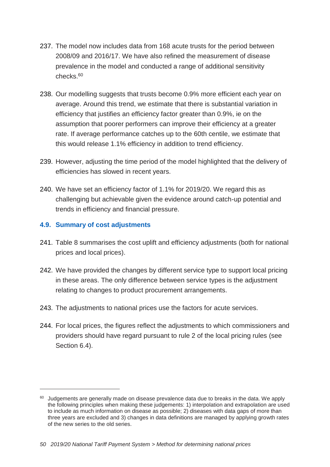- 237. The model now includes data from 168 acute trusts for the period between 2008/09 and 2016/17. We have also refined the measurement of disease prevalence in the model and conducted a range of additional sensitivity checks.<sup>60</sup>
- 238. Our modelling suggests that trusts become 0.9% more efficient each year on average. Around this trend, we estimate that there is substantial variation in efficiency that justifies an efficiency factor greater than 0.9%, ie on the assumption that poorer performers can improve their efficiency at a greater rate. If average performance catches up to the 60th centile, we estimate that this would release 1.1% efficiency in addition to trend efficiency.
- 239. However, adjusting the time period of the model highlighted that the delivery of efficiencies has slowed in recent years.
- 240. We have set an efficiency factor of 1.1% for 2019/20. We regard this as challenging but achievable given the evidence around catch-up potential and trends in efficiency and financial pressure.

### **4.9. Summary of cost adjustments**

- 241. Table 8 summarises the cost uplift and efficiency adjustments (both for national prices and local prices).
- 242. We have provided the changes by different service type to support local pricing in these areas. The only difference between service types is the adjustment relating to changes to product procurement arrangements.
- 243. The adjustments to national prices use the factors for acute services.
- 244. For local prices, the figures reflect the adjustments to which commissioners and providers should have regard pursuant to rule 2 of the local pricing rules (see Section 6.4).

 $60$  Judgements are generally made on disease prevalence data due to breaks in the data. We apply the following principles when making these judgements: 1) interpolation and extrapolation are used to include as much information on disease as possible; 2) diseases with data gaps of more than three years are excluded and 3) changes in data definitions are managed by applying growth rates of the new series to the old series.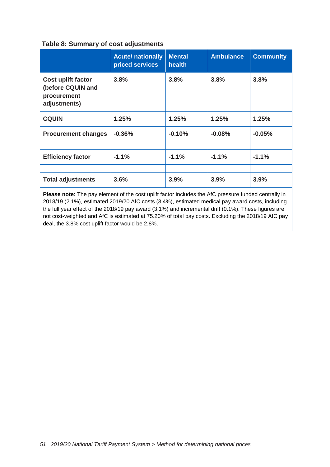#### **Table 8: Summary of cost adjustments**

|                                                                               | <b>Acute/ nationally</b><br>priced services | <b>Mental</b><br>health | <b>Ambulance</b> | <b>Community</b> |
|-------------------------------------------------------------------------------|---------------------------------------------|-------------------------|------------------|------------------|
| <b>Cost uplift factor</b><br>(before CQUIN and<br>procurement<br>adjustments) | 3.8%                                        | 3.8%                    | 3.8%             | 3.8%             |
| <b>CQUIN</b>                                                                  | 1.25%                                       | 1.25%                   | 1.25%            | 1.25%            |
| <b>Procurement changes</b>                                                    | $-0.36%$                                    | $-0.10%$                | $-0.08%$         | $-0.05%$         |
|                                                                               |                                             |                         |                  |                  |
| <b>Efficiency factor</b>                                                      | $-1.1%$                                     | $-1.1%$                 | $-1.1%$          | $-1.1%$          |
|                                                                               |                                             |                         |                  |                  |
| <b>Total adjustments</b>                                                      | 3.6%                                        | 3.9%                    | 3.9%             | 3.9%             |

**Please note:** The pay element of the cost uplift factor includes the AfC pressure funded centrally in 2018/19 (2.1%), estimated 2019/20 AfC costs (3.4%), estimated medical pay award costs, including the full year effect of the 2018/19 pay award (3.1%) and incremental drift (0.1%). These figures are not cost-weighted and AfC is estimated at 75.20% of total pay costs. Excluding the 2018/19 AfC pay deal, the 3.8% cost uplift factor would be 2.8%.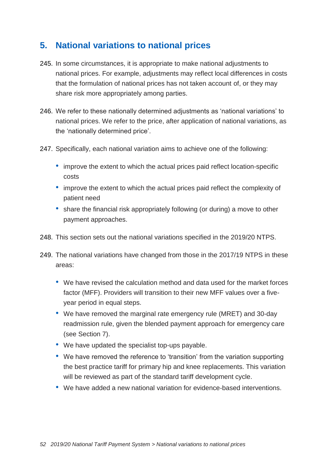# **5. National variations to national prices**

- 245. In some circumstances, it is appropriate to make national adjustments to national prices. For example, adjustments may reflect local differences in costs that the formulation of national prices has not taken account of, or they may share risk more appropriately among parties.
- 246. We refer to these nationally determined adjustments as 'national variations' to national prices. We refer to the price, after application of national variations, as the 'nationally determined price'.
- 247. Specifically, each national variation aims to achieve one of the following:
	- improve the extent to which the actual prices paid reflect location-specific costs
	- improve the extent to which the actual prices paid reflect the complexity of patient need
	- share the financial risk appropriately following (or during) a move to other payment approaches.
- 248. This section sets out the national variations specified in the 2019/20 NTPS.
- 249. The national variations have changed from those in the 2017/19 NTPS in these areas:
	- We have revised the calculation method and data used for the market forces factor (MFF). Providers will transition to their new MFF values over a fiveyear period in equal steps.
	- We have removed the marginal rate emergency rule (MRET) and 30-day readmission rule, given the blended payment approach for emergency care (see Section 7).
	- We have updated the specialist top-ups payable.
	- We have removed the reference to 'transition' from the variation supporting the best practice tariff for primary hip and knee replacements. This variation will be reviewed as part of the standard tariff development cycle.
	- We have added a new national variation for evidence-based interventions.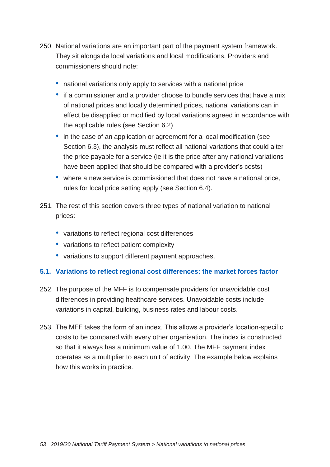- 250. National variations are an important part of the payment system framework. They sit alongside local variations and local modifications. Providers and commissioners should note:
	- national variations only apply to services with a national price
	- if a commissioner and a provider choose to bundle services that have a mix of national prices and locally determined prices, national variations can in effect be disapplied or modified by local variations agreed in accordance with the applicable rules (see Section 6.2)
	- in the case of an application or agreement for a local modification (see Section 6.3), the analysis must reflect all national variations that could alter the price payable for a service (ie it is the price after any national variations have been applied that should be compared with a provider's costs)
	- where a new service is commissioned that does not have a national price, rules for local price setting apply (see Section 6.4).
- 251. The rest of this section covers three types of national variation to national prices:
	- variations to reflect regional cost differences
	- variations to reflect patient complexity
	- variations to support different payment approaches.

# **5.1. Variations to reflect regional cost differences: the market forces factor**

- 252. The purpose of the MFF is to compensate providers for unavoidable cost differences in providing healthcare services. Unavoidable costs include variations in capital, building, business rates and labour costs.
- 253. The MFF takes the form of an index. This allows a provider's location-specific costs to be compared with every other organisation. The index is constructed so that it always has a minimum value of 1.00. The MFF payment index operates as a multiplier to each unit of activity. The example below explains how this works in practice.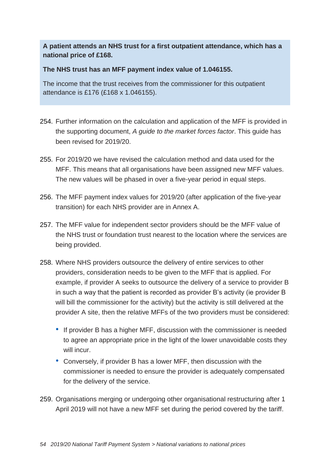**A patient attends an NHS trust for a first outpatient attendance, which has a national price of £168.**

**The NHS trust has an MFF payment index value of 1.046155.**

The income that the trust receives from the commissioner for this outpatient attendance is £176 (£168 x 1.046155).

- 254. Further information on the calculation and application of the MFF is provided in the supporting document, *A guide to the market forces factor*. This guide has been revised for 2019/20.
- 255. For 2019/20 we have revised the calculation method and data used for the MFF. This means that all organisations have been assigned new MFF values. The new values will be phased in over a five-year period in equal steps.
- 256. The MFF payment index values for 2019/20 (after application of the five-year transition) for each NHS provider are in Annex A.
- 257. The MFF value for independent sector providers should be the MFF value of the NHS trust or foundation trust nearest to the location where the services are being provided.
- 258. Where NHS providers outsource the delivery of entire services to other providers, consideration needs to be given to the MFF that is applied. For example, if provider A seeks to outsource the delivery of a service to provider B in such a way that the patient is recorded as provider B's activity (ie provider B will bill the commissioner for the activity) but the activity is still delivered at the provider A site, then the relative MFFs of the two providers must be considered:
	- If provider B has a higher MFF, discussion with the commissioner is needed to agree an appropriate price in the light of the lower unavoidable costs they will incur.
	- Conversely, if provider B has a lower MFF, then discussion with the commissioner is needed to ensure the provider is adequately compensated for the delivery of the service.
- 259. Organisations merging or undergoing other organisational restructuring after 1 April 2019 will not have a new MFF set during the period covered by the tariff.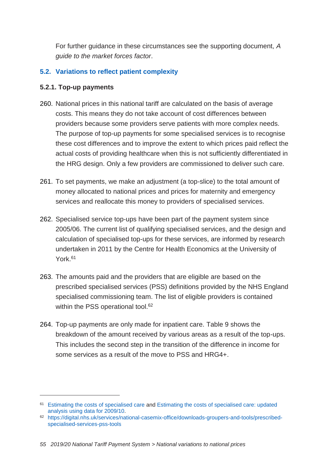For further guidance in these circumstances see the supporting document, *A guide to the market forces factor*.

### **5.2. Variations to reflect patient complexity**

#### **5.2.1. Top-up payments**

- 260. National prices in this national tariff are calculated on the basis of average costs. This means they do not take account of cost differences between providers because some providers serve patients with more complex needs. The purpose of top-up payments for some specialised services is to recognise these cost differences and to improve the extent to which prices paid reflect the actual costs of providing healthcare when this is not sufficiently differentiated in the HRG design. Only a few providers are commissioned to deliver such care.
- 261. To set payments, we make an adjustment (a top-slice) to the total amount of money allocated to national prices and prices for maternity and emergency services and reallocate this money to providers of specialised services.
- 262. Specialised service top-ups have been part of the payment system since 2005/06. The current list of qualifying specialised services, and the design and calculation of specialised top-ups for these services, are informed by research undertaken in 2011 by the Centre for Health Economics at the University of York.<sup>61</sup>
- 263. The amounts paid and the providers that are eligible are based on the prescribed specialised services (PSS) definitions provided by the NHS England specialised commissioning team. The list of eligible providers is contained within the PSS operational tool.<sup>62</sup>
- 264. Top-up payments are only made for inpatient care. Table 9 shows the breakdown of the amount received by various areas as a result of the top-ups. This includes the second step in the transition of the difference in income for some services as a result of the move to PSS and HRG4+.

<sup>61</sup> [Estimating the costs of specialised care](https://www.york.ac.uk/che/news/archive-2014/che-research-paper-61/) and [Estimating the costs of specialised care: updated](http://www.york.ac.uk/news-and-events/news/2011/research/specialised-care/)  [analysis using data for 2009/10.](http://www.york.ac.uk/news-and-events/news/2011/research/specialised-care/)

<sup>62</sup> [https://digital.nhs.uk/services/national-casemix-office/downloads-groupers-and-tools/prescribed](https://digital.nhs.uk/services/national-casemix-office/downloads-groupers-and-tools/prescribed-specialised-services-pss-tools)[specialised-services-pss-tools](https://digital.nhs.uk/services/national-casemix-office/downloads-groupers-and-tools/prescribed-specialised-services-pss-tools)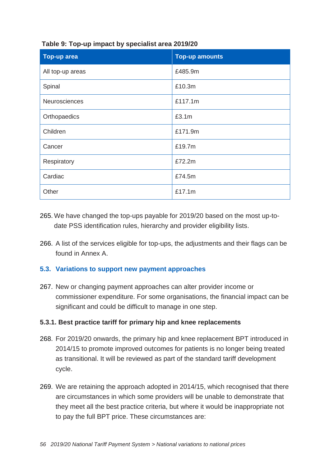| <b>Top-up area</b> | <b>Top-up amounts</b> |
|--------------------|-----------------------|
| All top-up areas   | £485.9m               |
| Spinal             | £10.3m                |
| Neurosciences      | £117.1m               |
| Orthopaedics       | £3.1m                 |
| Children           | £171.9m               |
| Cancer             | £19.7m                |
| Respiratory        | £72.2m                |
| Cardiac            | £74.5m                |
| Other              | £17.1m                |

**Table 9: Top-up impact by specialist area 2019/20**

- 265. We have changed the top-ups payable for 2019/20 based on the most up-todate PSS identification rules, hierarchy and provider eligibility lists.
- 266. A list of the services eligible for top-ups, the adjustments and their flags can be found in Annex A.

### **5.3. Variations to support new payment approaches**

267. New or changing payment approaches can alter provider income or commissioner expenditure. For some organisations, the financial impact can be significant and could be difficult to manage in one step.

### **5.3.1. Best practice tariff for primary hip and knee replacements**

- 268. For 2019/20 onwards, the primary hip and knee replacement BPT introduced in 2014/15 to promote improved outcomes for patients is no longer being treated as transitional. It will be reviewed as part of the standard tariff development cycle.
- 269. We are retaining the approach adopted in 2014/15, which recognised that there are circumstances in which some providers will be unable to demonstrate that they meet all the best practice criteria, but where it would be inappropriate not to pay the full BPT price. These circumstances are: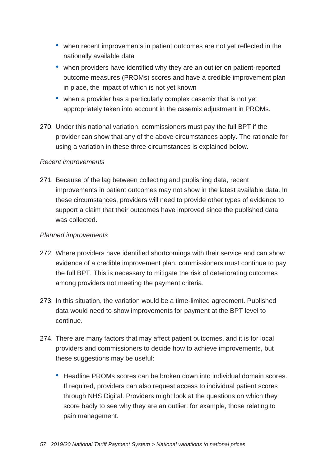- when recent improvements in patient outcomes are not yet reflected in the nationally available data
- when providers have identified why they are an outlier on patient-reported outcome measures (PROMs) scores and have a credible improvement plan in place, the impact of which is not yet known
- when a provider has a particularly complex casemix that is not yet appropriately taken into account in the casemix adjustment in PROMs.
- 270. Under this national variation, commissioners must pay the full BPT if the provider can show that any of the above circumstances apply. The rationale for using a variation in these three circumstances is explained below.

### *Recent improvements*

271. Because of the lag between collecting and publishing data, recent improvements in patient outcomes may not show in the latest available data. In these circumstances, providers will need to provide other types of evidence to support a claim that their outcomes have improved since the published data was collected.

#### *Planned improvements*

- 272. Where providers have identified shortcomings with their service and can show evidence of a credible improvement plan, commissioners must continue to pay the full BPT. This is necessary to mitigate the risk of deteriorating outcomes among providers not meeting the payment criteria.
- 273. In this situation, the variation would be a time-limited agreement. Published data would need to show improvements for payment at the BPT level to continue.
- 274. There are many factors that may affect patient outcomes, and it is for local providers and commissioners to decide how to achieve improvements, but these suggestions may be useful:
	- Headline PROMs scores can be broken down into individual domain scores. If required, providers can also request access to individual patient scores through NHS Digital. Providers might look at the questions on which they score badly to see why they are an outlier: for example, those relating to pain management.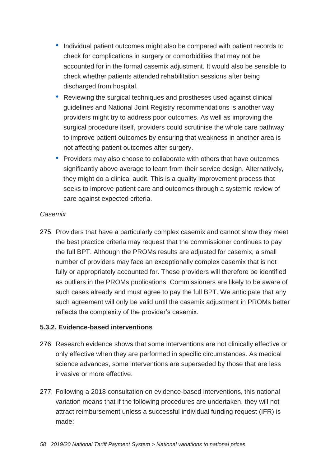- Individual patient outcomes might also be compared with patient records to check for complications in surgery or comorbidities that may not be accounted for in the formal casemix adjustment. It would also be sensible to check whether patients attended rehabilitation sessions after being discharged from hospital.
- Reviewing the surgical techniques and prostheses used against clinical guidelines and National Joint Registry recommendations is another way providers might try to address poor outcomes. As well as improving the surgical procedure itself, providers could scrutinise the whole care pathway to improve patient outcomes by ensuring that weakness in another area is not affecting patient outcomes after surgery.
- Providers may also choose to collaborate with others that have outcomes significantly above average to learn from their service design. Alternatively, they might do a clinical audit. This is a quality improvement process that seeks to improve patient care and outcomes through a systemic review of care against expected criteria.

#### *Casemix*

275. Providers that have a particularly complex casemix and cannot show they meet the best practice criteria may request that the commissioner continues to pay the full BPT. Although the PROMs results are adjusted for casemix, a small number of providers may face an exceptionally complex casemix that is not fully or appropriately accounted for. These providers will therefore be identified as outliers in the PROMs publications. Commissioners are likely to be aware of such cases already and must agree to pay the full BPT. We anticipate that any such agreement will only be valid until the casemix adjustment in PROMs better reflects the complexity of the provider's casemix.

### **5.3.2. Evidence-based interventions**

- 276. Research evidence shows that some interventions are not clinically effective or only effective when they are performed in specific circumstances. As medical science advances, some interventions are superseded by those that are less invasive or more effective.
- 277. Following a 2018 consultation on evidence-based interventions, this national variation means that if the following procedures are undertaken, they will not attract reimbursement unless a successful individual funding request (IFR) is made: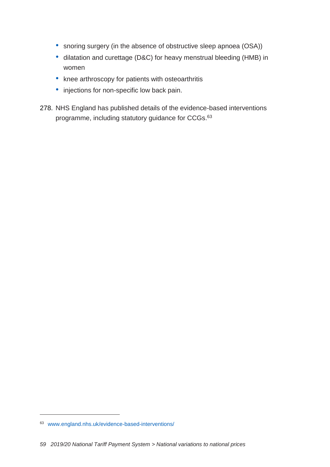- snoring surgery (in the absence of obstructive sleep apnoea (OSA))
- dilatation and curettage (D&C) for heavy menstrual bleeding (HMB) in women
- knee arthroscopy for patients with osteoarthritis
- injections for non-specific low back pain.
- 278. NHS England has published details of the evidence-based interventions programme, including statutory guidance for CCGs.<sup>63</sup>

<sup>63</sup> [www.england.nhs.uk/evidence-based-interventions/](http://www.england.nhs.uk/evidence-based-interventions/)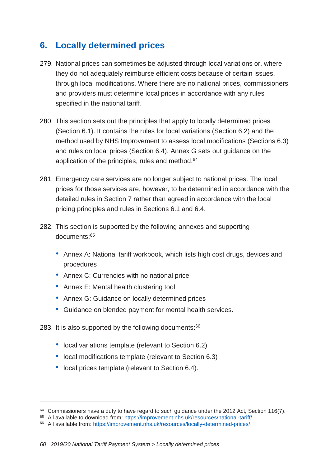# **6. Locally determined prices**

- 279. National prices can sometimes be adjusted through local variations or, where they do not adequately reimburse efficient costs because of certain issues, through local modifications. Where there are no national prices, commissioners and providers must determine local prices in accordance with any rules specified in the national tariff.
- 280. This section sets out the principles that apply to locally determined prices (Section 6.1). It contains the rules for local variations (Section 6.2) and the method used by NHS Improvement to assess local modifications (Sections 6.3) and rules on local prices (Section 6.4). Annex G sets out guidance on the application of the principles, rules and method.<sup>64</sup>
- 281. Emergency care services are no longer subject to national prices. The local prices for those services are, however, to be determined in accordance with the detailed rules in Section 7 rather than agreed in accordance with the local pricing principles and rules in Sections 6.1 and 6.4.
- 282. This section is supported by the following annexes and supporting documents: 65
	- Annex A: National tariff workbook, which lists high cost drugs, devices and procedures
	- Annex C: Currencies with no national price
	- Annex E: Mental health clustering tool
	- Annex G: Guidance on locally determined prices
	- Guidance on blended payment for mental health services.
- 283. It is also supported by the following documents:<sup>66</sup>
	- local variations template (relevant to Section 6.2)
	- local modifications template (relevant to Section 6.3)
	- local prices template (relevant to Section 6.4).

 $64$  Commissioners have a duty to have regard to such guidance under the 2012 Act, Section 116(7).

<sup>65</sup> All available to download from:<https://improvement.nhs.uk/resources/national-tariff/>

<sup>66</sup> All available from:<https://improvement.nhs.uk/resources/locally-determined-prices/>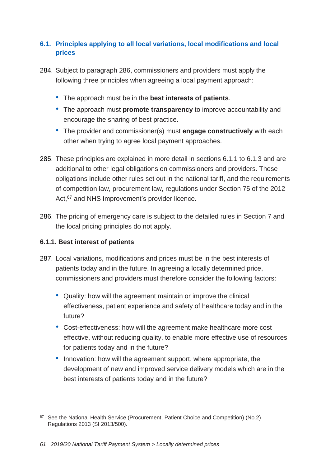# **6.1. Principles applying to all local variations, local modifications and local prices**

- 284. Subject to paragraph 286, commissioners and providers must apply the following three principles when agreeing a local payment approach:
	- The approach must be in the **best interests of patients**.
	- The approach must **promote transparency** to improve accountability and encourage the sharing of best practice.
	- The provider and commissioner(s) must **engage constructively** with each other when trying to agree local payment approaches.
- 285. These principles are explained in more detail in sections 6.1.1 to 6.1.3 and are additional to other legal obligations on commissioners and providers. These obligations include other rules set out in the national tariff, and the requirements of competition law, procurement law, regulations under Section 75 of the 2012 Act,<sup>67</sup> and NHS Improvement's provider licence.
- 286. The pricing of emergency care is subject to the detailed rules in Section 7 and the local pricing principles do not apply.

# **6.1.1. Best interest of patients**

- 287. Local variations, modifications and prices must be in the best interests of patients today and in the future. In agreeing a locally determined price, commissioners and providers must therefore consider the following factors:
	- Quality: how will the agreement maintain or improve the clinical effectiveness, patient experience and safety of healthcare today and in the future?
	- Cost-effectiveness: how will the agreement make healthcare more cost effective, without reducing quality, to enable more effective use of resources for patients today and in the future?
	- Innovation: how will the agreement support, where appropriate, the development of new and improved service delivery models which are in the best interests of patients today and in the future?

<sup>67</sup> See the National Health Service (Procurement, Patient Choice and Competition) (No.2) Regulations 2013 (SI 2013/500).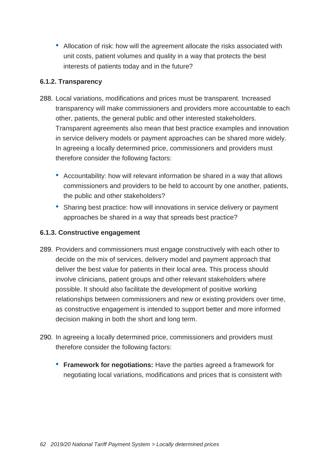• Allocation of risk: how will the agreement allocate the risks associated with unit costs, patient volumes and quality in a way that protects the best interests of patients today and in the future?

### **6.1.2. Transparency**

- 288. Local variations, modifications and prices must be transparent. Increased transparency will make commissioners and providers more accountable to each other, patients, the general public and other interested stakeholders. Transparent agreements also mean that best practice examples and innovation in service delivery models or payment approaches can be shared more widely. In agreeing a locally determined price, commissioners and providers must therefore consider the following factors:
	- Accountability: how will relevant information be shared in a way that allows commissioners and providers to be held to account by one another, patients, the public and other stakeholders?
	- Sharing best practice: how will innovations in service delivery or payment approaches be shared in a way that spreads best practice?

# **6.1.3. Constructive engagement**

- 289. Providers and commissioners must engage constructively with each other to decide on the mix of services, delivery model and payment approach that deliver the best value for patients in their local area. This process should involve clinicians, patient groups and other relevant stakeholders where possible. It should also facilitate the development of positive working relationships between commissioners and new or existing providers over time, as constructive engagement is intended to support better and more informed decision making in both the short and long term.
- 290. In agreeing a locally determined price, commissioners and providers must therefore consider the following factors:
	- **Framework for negotiations:** Have the parties agreed a framework for negotiating local variations, modifications and prices that is consistent with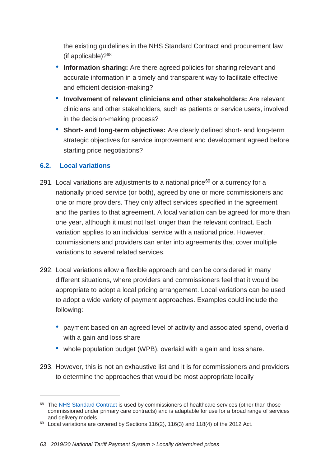the existing guidelines in the NHS Standard Contract and procurement law (if applicable)?<sup>68</sup>

- **Information sharing:** Are there agreed policies for sharing relevant and accurate information in a timely and transparent way to facilitate effective and efficient decision-making?
- **Involvement of relevant clinicians and other stakeholders:** Are relevant clinicians and other stakeholders, such as patients or service users, involved in the decision-making process?
- **Short- and long-term objectives:** Are clearly defined short- and long-term strategic objectives for service improvement and development agreed before starting price negotiations?

### **6.2. Local variations**

- 291. Local variations are adjustments to a national price<sup>69</sup> or a currency for a nationally priced service (or both), agreed by one or more commissioners and one or more providers. They only affect services specified in the agreement and the parties to that agreement. A local variation can be agreed for more than one year, although it must not last longer than the relevant contract. Each variation applies to an individual service with a national price. However, commissioners and providers can enter into agreements that cover multiple variations to several related services.
- 292. Local variations allow a flexible approach and can be considered in many different situations, where providers and commissioners feel that it would be appropriate to adopt a local pricing arrangement. Local variations can be used to adopt a wide variety of payment approaches. Examples could include the following:
	- payment based on an agreed level of activity and associated spend, overlaid with a gain and loss share
	- whole population budget (WPB), overlaid with a gain and loss share.
- 293. However, this is not an exhaustive list and it is for commissioners and providers to determine the approaches that would be most appropriate locally

<sup>&</sup>lt;sup>68</sup> The [NHS Standard Contract](https://www.england.nhs.uk/nhs-standard-contract/) is used by commissioners of healthcare services (other than those commissioned under primary care contracts) and is adaptable for use for a broad range of services and delivery models.

 $69$  Local variations are covered by Sections 116(2), 116(3) and 118(4) of the 2012 Act.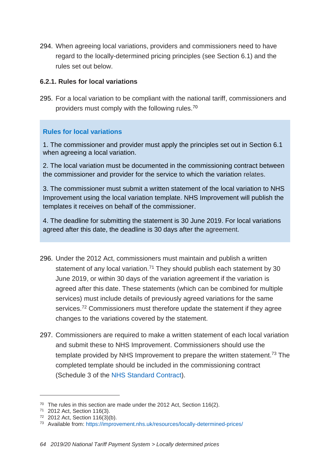294. When agreeing local variations, providers and commissioners need to have regard to the locally-determined pricing principles (see Section 6.1) and the rules set out below.

#### **6.2.1. Rules for local variations**

295. For a local variation to be compliant with the national tariff, commissioners and providers must comply with the following rules.<sup>70</sup>

### **Rules for local variations**

1. The commissioner and provider must apply the principles set out in Section 6.1 when agreeing a local variation.

2. The local variation must be documented in the commissioning contract between the commissioner and provider for the service to which the variation relates.

3. The commissioner must submit a written statement of the local variation to NHS Improvement using the local variation template. NHS Improvement will publish the templates it receives on behalf of the commissioner.

4. The deadline for submitting the statement is 30 June 2019. For local variations agreed after this date, the deadline is 30 days after the agreement.

- 296. Under the 2012 Act, commissioners must maintain and publish a written statement of any local variation.<sup>71</sup> They should publish each statement by 30 June 2019, or within 30 days of the variation agreement if the variation is agreed after this date. These statements (which can be combined for multiple services) must include details of previously agreed variations for the same services.<sup>72</sup> Commissioners must therefore update the statement if they agree changes to the variations covered by the statement.
- 297. Commissioners are required to make a written statement of each local variation and submit these to NHS Improvement. Commissioners should use the template provided by NHS Improvement to prepare the written statement.<sup>73</sup> The completed template should be included in the commissioning contract (Schedule 3 of the [NHS Standard Contract\)](https://www.england.nhs.uk/nhs-standard-contract/).

 $70$  The rules in this section are made under the 2012 Act, Section 116(2).

<sup>71</sup> 2012 Act, Section 116(3).

<sup>72</sup> 2012 Act, Section 116(3)(b).

<sup>73</sup> Available from:<https://improvement.nhs.uk/resources/locally-determined-prices/>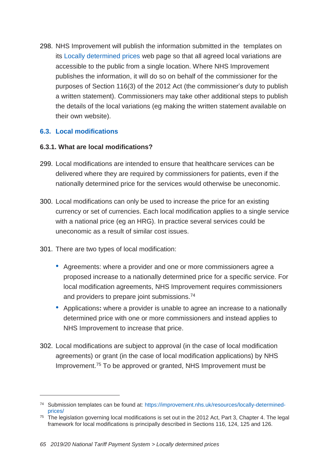298. NHS Improvement will publish the information submitted in the templates on its [Locally determined prices](https://improvement.nhs.uk/resources/locally-determined-prices/) web page so that all agreed local variations are accessible to the public from a single location. Where NHS Improvement publishes the information, it will do so on behalf of the commissioner for the purposes of Section 116(3) of the 2012 Act (the commissioner's duty to publish a written statement). Commissioners may take other additional steps to publish the details of the local variations (eg making the written statement available on their own website).

### **6.3. Local modifications**

 $\overline{a}$ 

#### **6.3.1. What are local modifications?**

- 299. Local modifications are intended to ensure that healthcare services can be delivered where they are required by commissioners for patients, even if the nationally determined price for the services would otherwise be uneconomic.
- 300. Local modifications can only be used to increase the price for an existing currency or set of currencies. Each local modification applies to a single service with a national price (eg an HRG). In practice several services could be uneconomic as a result of similar cost issues.
- 301. There are two types of local modification:
	- Agreements: where a provider and one or more commissioners agree a proposed increase to a nationally determined price for a specific service. For local modification agreements, NHS Improvement requires commissioners and providers to prepare joint submissions.<sup>74</sup>
	- Applications**:** where a provider is unable to agree an increase to a nationally determined price with one or more commissioners and instead applies to NHS Improvement to increase that price.
- 302. Local modifications are subject to approval (in the case of local modification agreements) or grant (in the case of local modification applications) by NHS Improvement. <sup>75</sup> To be approved or granted, NHS Improvement must be

<sup>74</sup> Submission templates can be found at: [https://improvement.nhs.uk/resources/locally-determined](https://improvement.nhs.uk/resources/locally-determined-prices/)[prices/](https://improvement.nhs.uk/resources/locally-determined-prices/)

 $75$  The legislation governing local modifications is set out in the 2012 Act, Part 3, Chapter 4. The legal framework for local modifications is principally described in Sections 116, 124, 125 and 126.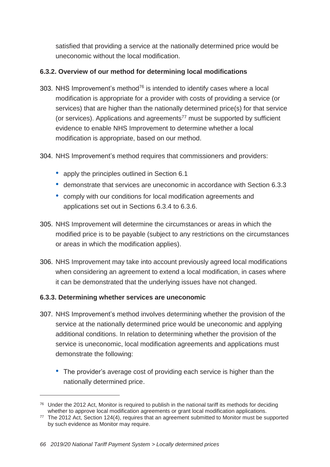satisfied that providing a service at the nationally determined price would be uneconomic without the local modification.

# **6.3.2. Overview of our method for determining local modifications**

- 303. NHS Improvement's method $76$  is intended to identify cases where a local modification is appropriate for a provider with costs of providing a service (or services) that are higher than the nationally determined price(s) for that service (or services). Applications and agreements<sup>77</sup> must be supported by sufficient evidence to enable NHS Improvement to determine whether a local modification is appropriate, based on our method.
- 304. NHS Improvement's method requires that commissioners and providers:
	- apply the principles outlined in Section 6.1
	- demonstrate that services are uneconomic in accordance with Section 6.3.3
	- comply with our conditions for local modification agreements and applications set out in Sections 6.3.4 to 6.3.6.
- 305. NHS Improvement will determine the circumstances or areas in which the modified price is to be payable (subject to any restrictions on the circumstances or areas in which the modification applies).
- 306. NHS Improvement may take into account previously agreed local modifications when considering an agreement to extend a local modification, in cases where it can be demonstrated that the underlying issues have not changed.

# **6.3.3. Determining whether services are uneconomic**

- 307. NHS Improvement's method involves determining whether the provision of the service at the nationally determined price would be uneconomic and applying additional conditions. In relation to determining whether the provision of the service is uneconomic, local modification agreements and applications must demonstrate the following:
	- The provider's average cost of providing each service is higher than the nationally determined price.

 $76$  Under the 2012 Act, Monitor is required to publish in the national tariff its methods for deciding whether to approve local modification agreements or grant local modification applications.

<sup>77</sup> The 2012 Act, Section 124(4), requires that an agreement submitted to Monitor must be supported by such evidence as Monitor may require.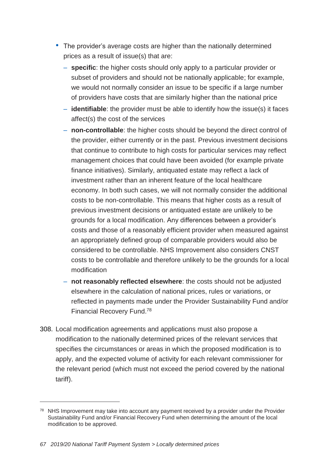- The provider's average costs are higher than the nationally determined prices as a result of issue(s) that are:
	- **specific**: the higher costs should only apply to a particular provider or subset of providers and should not be nationally applicable; for example, we would not normally consider an issue to be specific if a large number of providers have costs that are similarly higher than the national price
	- **identifiable**: the provider must be able to identify how the issue(s) it faces affect(s) the cost of the services
	- **non-controllable**: the higher costs should be beyond the direct control of the provider, either currently or in the past. Previous investment decisions that continue to contribute to high costs for particular services may reflect management choices that could have been avoided (for example private finance initiatives). Similarly, antiquated estate may reflect a lack of investment rather than an inherent feature of the local healthcare economy. In both such cases, we will not normally consider the additional costs to be non-controllable. This means that higher costs as a result of previous investment decisions or antiquated estate are unlikely to be grounds for a local modification. Any differences between a provider's costs and those of a reasonably efficient provider when measured against an appropriately defined group of comparable providers would also be considered to be controllable. NHS Improvement also considers CNST costs to be controllable and therefore unlikely to be the grounds for a local modification
	- **not reasonably reflected elsewhere**: the costs should not be adjusted elsewhere in the calculation of national prices, rules or variations, or reflected in payments made under the Provider Sustainability Fund and/or Financial Recovery Fund. 78
- 308. Local modification agreements and applications must also propose a modification to the nationally determined prices of the relevant services that specifies the circumstances or areas in which the proposed modification is to apply, and the expected volume of activity for each relevant commissioner for the relevant period (which must not exceed the period covered by the national tariff).

<sup>&</sup>lt;sup>78</sup> NHS Improvement may take into account any payment received by a provider under the Provider Sustainability Fund and/or Financial Recovery Fund when determining the amount of the local modification to be approved.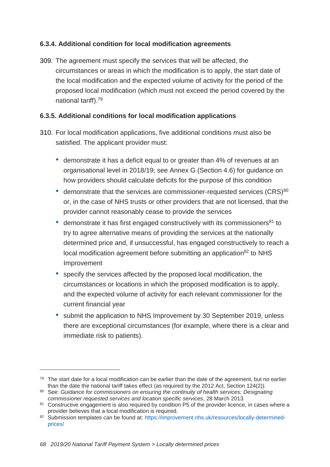### **6.3.4. Additional condition for local modification agreements**

309. The agreement must specify the services that will be affected, the circumstances or areas in which the modification is to apply, the start date of the local modification and the expected volume of activity for the period of the proposed local modification (which must not exceed the period covered by the national tariff).<sup>79</sup>

### **6.3.5. Additional conditions for local modification applications**

- 310. For local modification applications, five additional conditions must also be satisfied. The applicant provider must:
	- demonstrate it has a deficit equal to or greater than 4% of revenues at an organisational level in 2018/19; see Annex G (Section 4.6) for guidance on how providers should calculate deficits for the purpose of this condition
	- demonstrate that the services are commissioner-requested services (CRS)<sup>80</sup> or, in the case of NHS trusts or other providers that are not licensed, that the provider cannot reasonably cease to provide the services
	- demonstrate it has first engaged constructively with its commissioners<sup>81</sup> to try to agree alternative means of providing the services at the nationally determined price and, if unsuccessful, has engaged constructively to reach a local modification agreement before submitting an application<sup>82</sup> to NHS Improvement
	- specify the services affected by the proposed local modification, the circumstances or locations in which the proposed modification is to apply, and the expected volume of activity for each relevant commissioner for the current financial year
	- submit the application to NHS Improvement by 30 September 2019, unless there are exceptional circumstances (for example, where there is a clear and immediate risk to patients).

<sup>&</sup>lt;sup>79</sup> The start date for a local modification can be earlier than the date of the agreement, but no earlier than the date the national tariff takes effect (as required by the 2012 Act, Section 124(2)).

<sup>80</sup> See: *Guidance for commissioners on ensuring the continuity of health services; Designating commissioner requested services and location specific services*, 28 March 2013.

<sup>81</sup> Constructive engagement is also required by condition P5 of the provider licence, in cases where a provider believes that a local modification is required.

<sup>82</sup> Submission templates can be found at: [https://improvement.nhs.uk/resources/locally-determined](https://improvement.nhs.uk/resources/locally-determined-prices/)[prices/](https://improvement.nhs.uk/resources/locally-determined-prices/)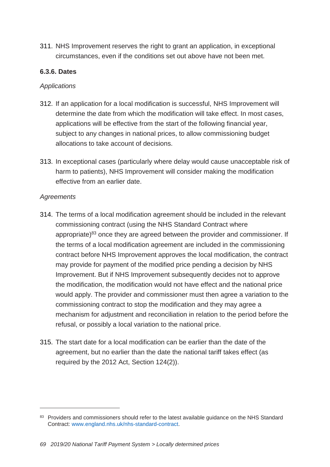311. NHS Improvement reserves the right to grant an application, in exceptional circumstances, even if the conditions set out above have not been met.

### **6.3.6. Dates**

#### *Applications*

- 312. If an application for a local modification is successful, NHS Improvement will determine the date from which the modification will take effect. In most cases, applications will be effective from the start of the following financial year, subject to any changes in national prices, to allow commissioning budget allocations to take account of decisions.
- 313. In exceptional cases (particularly where delay would cause unacceptable risk of harm to patients), NHS Improvement will consider making the modification effective from an earlier date.

#### *Agreements*

- 314. The terms of a local modification agreement should be included in the relevant commissioning contract (using the NHS Standard Contract where appropriate)<sup>83</sup> once they are agreed between the provider and commissioner. If the terms of a local modification agreement are included in the commissioning contract before NHS Improvement approves the local modification, the contract may provide for payment of the modified price pending a decision by NHS Improvement. But if NHS Improvement subsequently decides not to approve the modification, the modification would not have effect and the national price would apply. The provider and commissioner must then agree a variation to the commissioning contract to stop the modification and they may agree a mechanism for adjustment and reconciliation in relation to the period before the refusal, or possibly a local variation to the national price.
- 315. The start date for a local modification can be earlier than the date of the agreement, but no earlier than the date the national tariff takes effect (as required by the 2012 Act, Section 124(2)).

<sup>83</sup> Providers and commissioners should refer to the latest available guidance on the NHS Standard Contract: [www.england.nhs.uk/nhs-standard-contract.](http://www.england.nhs.uk/nhs-standard-contract)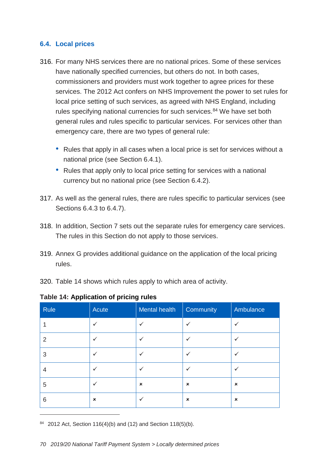#### **6.4. Local prices**

- 316. For many NHS services there are no national prices. Some of these services have nationally specified currencies, but others do not. In both cases, commissioners and providers must work together to agree prices for these services. The 2012 Act confers on NHS Improvement the power to set rules for local price setting of such services, as agreed with NHS England, including rules specifying national currencies for such services.<sup>84</sup> We have set both general rules and rules specific to particular services. For services other than emergency care, there are two types of general rule:
	- Rules that apply in all cases when a local price is set for services without a national price (see Section 6.4.1).
	- Rules that apply only to local price setting for services with a national currency but no national price (see Section 6.4.2).
- 317. As well as the general rules, there are rules specific to particular services (see Sections 6.4.3 to 6.4.7).
- 318. In addition, Section 7 sets out the separate rules for emergency care services. The rules in this Section do not apply to those services.
- 319. Annex G provides additional guidance on the application of the local pricing rules.
- 320. Table 14 shows which rules apply to which area of activity.

| Rule           | Acute                     | Mental health  | Community      | Ambulance      |
|----------------|---------------------------|----------------|----------------|----------------|
|                | ✓                         | ✓              | $\checkmark$   | ✓              |
| $\overline{2}$ | $\checkmark$              | ✓              | ✓              | ✓              |
| 3              | $\checkmark$              | $\checkmark$   | $\checkmark$   | ✓              |
| 4              | $\checkmark$              | ✓              | $\checkmark$   | $\checkmark$   |
| 5              | ✓                         | $\pmb{\times}$ | $\pmb{\times}$ | $\pmb{\times}$ |
| 6              | $\boldsymbol{\mathsf{x}}$ | ✓              | $\pmb{\times}$ | $\pmb{\times}$ |

#### **Table 14: Application of pricing rules**

<sup>84</sup> 2012 Act, Section 116(4)(b) and (12) and Section 118(5)(b).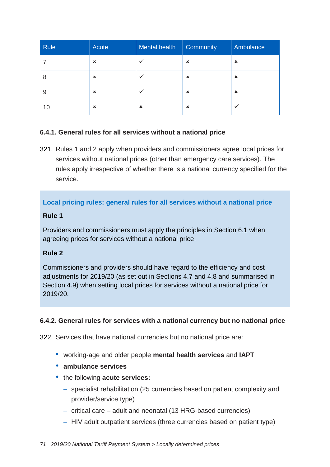| Rule | Acute                     | Mental health             | Community      | Ambulance                 |
|------|---------------------------|---------------------------|----------------|---------------------------|
|      | ×                         |                           | $\pmb{\times}$ | $\boldsymbol{\mathsf{x}}$ |
| 8    | $\boldsymbol{\mathsf{x}}$ |                           | $\pmb{\times}$ | $\boldsymbol{\mathsf{x}}$ |
| 9    | $\boldsymbol{\mathsf{x}}$ |                           | $\pmb{\times}$ | $\boldsymbol{\mathsf{x}}$ |
| 10   | $\boldsymbol{\mathsf{x}}$ | $\boldsymbol{\mathsf{x}}$ | $\pmb{\times}$ |                           |

### **6.4.1. General rules for all services without a national price**

321. Rules 1 and 2 apply when providers and commissioners agree local prices for services without national prices (other than emergency care services). The rules apply irrespective of whether there is a national currency specified for the service.

### **Local pricing rules: general rules for all services without a national price**

#### **Rule 1**

Providers and commissioners must apply the principles in Section 6.1 when agreeing prices for services without a national price.

# **Rule 2**

Commissioners and providers should have regard to the efficiency and cost adjustments for 2019/20 (as set out in Sections 4.7 and 4.8 and summarised in Section 4.9) when setting local prices for services without a national price for 2019/20.

### **6.4.2. General rules for services with a national currency but no national price**

<span id="page-70-0"></span>322. Services that have national currencies but no national price are:

- working-age and older people **mental health services** and **IAPT**
- **ambulance services**
- the following **acute services:**
	- specialist rehabilitation (25 currencies based on patient complexity and provider/service type)
	- critical care adult and neonatal (13 HRG-based currencies)
	- HIV adult outpatient services (three currencies based on patient type)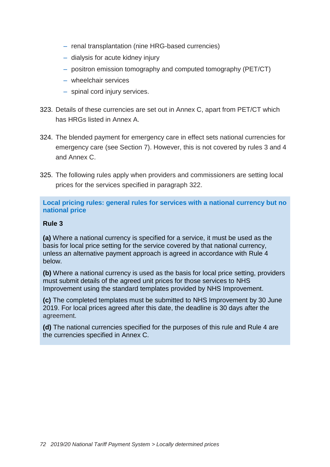- renal transplantation (nine HRG-based currencies)
- dialysis for acute kidney injury
- positron emission tomography and computed tomography (PET/CT)
- wheelchair services
- spinal cord injury services.
- 323. Details of these currencies are set out in Annex C, apart from PET/CT which has HRGs listed in Annex A.
- 324. The blended payment for emergency care in effect sets national currencies for emergency care (see Section 7). However, this is not covered by rules 3 and 4 and Annex C.
- 325. The following rules apply when providers and commissioners are setting local prices for the services specified in paragraph [322.](#page-70-0)

**Local pricing rules: general rules for services with a national currency but no national price**

#### **Rule 3**

**(a)** Where a national currency is specified for a service, it must be used as the basis for local price setting for the service covered by that national currency, unless an alternative payment approach is agreed in accordance with Rule 4 below.

**(b)** Where a national currency is used as the basis for local price setting, providers must submit details of the agreed unit prices for those services to NHS Improvement using the standard templates provided by NHS Improvement.

**(c)** The completed templates must be submitted to NHS Improvement by 30 June 2019. For local prices agreed after this date, the deadline is 30 days after the agreement.

**(d)** The national currencies specified for the purposes of this rule and Rule 4 are the currencies specified in Annex C.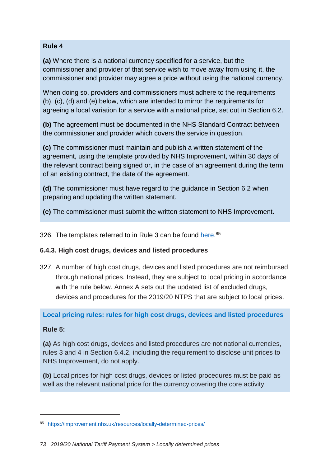#### **Rule 4**

**(a)** Where there is a national currency specified for a service, but the commissioner and provider of that service wish to move away from using it, the commissioner and provider may agree a price without using the national currency.

When doing so, providers and commissioners must adhere to the requirements (b), (c), (d) and (e) below, which are intended to mirror the requirements for agreeing a local variation for a service with a national price, set out in Section 6.2.

**(b)** The agreement must be documented in the NHS Standard Contract between the commissioner and provider which covers the service in question.

**(c)** The commissioner must maintain and publish a written statement of the agreement, using the template provided by NHS Improvement, within 30 days of the relevant contract being signed or, in the case of an agreement during the term of an existing contract, the date of the agreement.

**(d)** The commissioner must have regard to the guidance in Section 6.2 when preparing and updating the written statement.

**(e)** The commissioner must submit the written statement to NHS Improvement.

326. The templates referred to in Rule 3 can be found [here.](https://improvement.nhs.uk/resources/locally-determined-prices/)<sup>85</sup>

## **6.4.3. High cost drugs, devices and listed procedures**

327. A number of high cost drugs, devices and listed procedures are not reimbursed through national prices. Instead, they are subject to local pricing in accordance with the rule below. Annex A sets out the updated list of excluded drugs, devices and procedures for the 2019/20 NTPS that are subject to local prices.

**Local pricing rules: rules for high cost drugs, devices and listed procedures**

## **Rule 5:**

-

**(a)** As high cost drugs, devices and listed procedures are not national currencies, rules 3 and 4 in Section 6.4.2, including the requirement to disclose unit prices to NHS Improvement, do not apply.

**(b)** Local prices for high cost drugs, devices or listed procedures must be paid as well as the relevant national price for the currency covering the core activity.

<sup>85</sup> <https://improvement.nhs.uk/resources/locally-determined-prices/>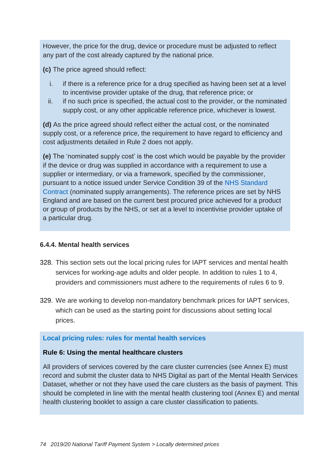However, the price for the drug, device or procedure must be adjusted to reflect any part of the cost already captured by the national price.

**(c)** The price agreed should reflect:

- i. if there is a reference price for a drug specified as having been set at a level to incentivise provider uptake of the drug, that reference price; or
- ii. if no such price is specified, the actual cost to the provider, or the nominated supply cost, or any other applicable reference price, whichever is lowest.

**(d)** As the price agreed should reflect either the actual cost, or the nominated supply cost, or a reference price, the requirement to have regard to efficiency and cost adjustments detailed in Rule 2 does not apply.

**(e)** The 'nominated supply cost' is the cost which would be payable by the provider if the device or drug was supplied in accordance with a requirement to use a supplier or intermediary, or via a framework, specified by the commissioner, pursuant to a notice issued under Service Condition 39 of the [NHS Standard](https://www.england.nhs.uk/nhs-standard-contract/)  [Contract](https://www.england.nhs.uk/nhs-standard-contract/) (nominated supply arrangements). The reference prices are set by NHS England and are based on the current best procured price achieved for a product or group of products by the NHS, or set at a level to incentivise provider uptake of a particular drug.

## **6.4.4. Mental health services**

- 328. This section sets out the local pricing rules for IAPT services and mental health services for working-age adults and older people. In addition to rules 1 to 4, providers and commissioners must adhere to the requirements of rules 6 to 9.
- 329. We are working to develop non-mandatory benchmark prices for IAPT services, which can be used as the starting point for discussions about setting local prices.

## **Local pricing rules: rules for mental health services**

## **Rule 6: Using the mental healthcare clusters**

All providers of services covered by the care cluster currencies (see Annex E) must record and submit the cluster data to NHS Digital as part of the Mental Health Services Dataset, whether or not they have used the care clusters as the basis of payment. This should be completed in line with the mental health clustering tool (Annex E) and mental health clustering booklet to assign a care cluster classification to patients.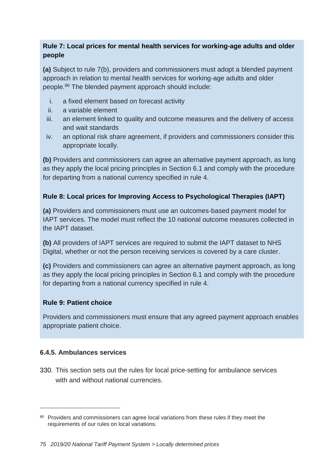## **Rule 7: Local prices for mental health services for working-age adults and older people**

**(a)** Subject to rule 7(b), providers and commissioners must adopt a blended payment approach in relation to mental health services for working-age adults and older people.<sup>86</sup> The blended payment approach should include:

- i. a fixed element based on forecast activity
- ii. a variable element
- iii. an element linked to quality and outcome measures and the delivery of access and wait standards
- iv. an optional risk share agreement, if providers and commissioners consider this appropriate locally.

**(b)** Providers and commissioners can agree an alternative payment approach, as long as they apply the local pricing principles in Section 6.1 and comply with the procedure for departing from a national currency specified in rule 4.

## **Rule 8: Local prices for Improving Access to Psychological Therapies (IAPT)**

**(a)** Providers and commissioners must use an outcomes-based payment model for IAPT services. The model must reflect the 10 national outcome measures collected in the IAPT dataset.

**(b)** All providers of IAPT services are required to submit the IAPT dataset to NHS Digital, whether or not the person receiving services is covered by a care cluster.

**(c)** Providers and commissioners can agree an alternative payment approach, as long as they apply the local pricing principles in Section 6.1 and comply with the procedure for departing from a national currency specified in rule 4.

## **Rule 9: Patient choice**

Providers and commissioners must ensure that any agreed payment approach enables appropriate patient choice.

## **6.4.5. Ambulances services**

 $\overline{a}$ 

330. This section sets out the rules for local price-setting for ambulance services with and without national currencies.

<sup>&</sup>lt;sup>86</sup> Providers and commissioners can agree local variations from these rules if they meet the requirements of our rules on local variations.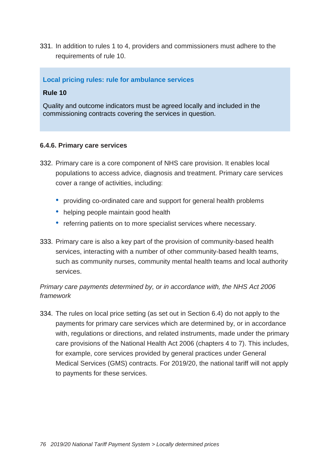331. In addition to rules 1 to 4, providers and commissioners must adhere to the requirements of rule 10.

## **Local pricing rules: rule for ambulance services**

## **Rule 10**

Quality and outcome indicators must be agreed locally and included in the commissioning contracts covering the services in question.

## **6.4.6. Primary care services**

- 332. Primary care is a core component of NHS care provision. It enables local populations to access advice, diagnosis and treatment. Primary care services cover a range of activities, including:
	- providing co-ordinated care and support for general health problems
	- helping people maintain good health
	- referring patients on to more specialist services where necessary.
- 333. Primary care is also a key part of the provision of community-based health services, interacting with a number of other community-based health teams, such as community nurses, community mental health teams and local authority services.

## *Primary care payments determined by, or in accordance with, the NHS Act 2006 framework*

334. The rules on local price setting (as set out in Section 6.4) do not apply to the payments for primary care services which are determined by, or in accordance with, regulations or directions, and related instruments, made under the primary care provisions of the National Health Act 2006 (chapters 4 to 7). This includes, for example, core services provided by general practices under General Medical Services (GMS) contracts. For 2019/20, the national tariff will not apply to payments for these services.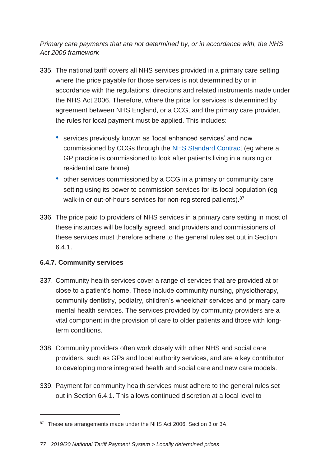*Primary care payments that are not determined by, or in accordance with, the NHS Act 2006 framework*

- 335. The national tariff covers all NHS services provided in a primary care setting where the price payable for those services is not determined by or in accordance with the regulations, directions and related instruments made under the NHS Act 2006. Therefore, where the price for services is determined by agreement between NHS England, or a CCG, and the primary care provider, the rules for local payment must be applied. This includes:
	- services previously known as 'local enhanced services' and now commissioned by CCGs through the [NHS Standard Contract](https://www.england.nhs.uk/nhs-standard-contract/) (eg where a GP practice is commissioned to look after patients living in a nursing or residential care home)
	- other services commissioned by a CCG in a primary or community care setting using its power to commission services for its local population (eg walk-in or out-of-hours services for non-registered patients).<sup>87</sup>
- 336. The price paid to providers of NHS services in a primary care setting in most of these instances will be locally agreed, and providers and commissioners of these services must therefore adhere to the general rules set out in Section 6.4.1.

## **6.4.7. Community services**

-

- 337. Community health services cover a range of services that are provided at or close to a patient's home. These include community nursing, physiotherapy, community dentistry, podiatry, children's wheelchair services and primary care mental health services. The services provided by community providers are a vital component in the provision of care to older patients and those with longterm conditions.
- 338. Community providers often work closely with other NHS and social care providers, such as GPs and local authority services, and are a key contributor to developing more integrated health and social care and new care models.
- 339. Payment for community health services must adhere to the general rules set out in Section 6.4.1. This allows continued discretion at a local level to

<sup>87</sup> These are arrangements made under the NHS Act 2006, Section 3 or 3A.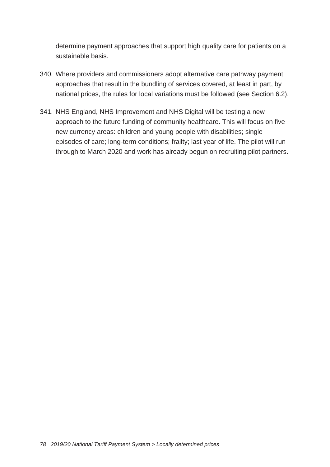determine payment approaches that support high quality care for patients on a sustainable basis.

- 340. Where providers and commissioners adopt alternative care pathway payment approaches that result in the bundling of services covered, at least in part, by national prices, the rules for local variations must be followed (see Section 6.2).
- 341. NHS England, NHS Improvement and NHS Digital will be testing a new approach to the future funding of community healthcare. This will focus on five new currency areas: children and young people with disabilities; single episodes of care; long-term conditions; frailty; last year of life. The pilot will run through to March 2020 and work has already begun on recruiting pilot partners.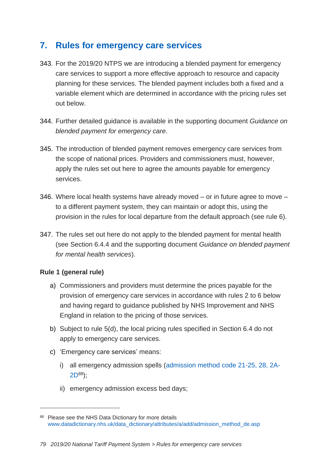# **7. Rules for emergency care services**

- 343. For the 2019/20 NTPS we are introducing a blended payment for emergency care services to support a more effective approach to resource and capacity planning for these services. The blended payment includes both a fixed and a variable element which are determined in accordance with the pricing rules set out below.
- 344. Further detailed guidance is available in the supporting document *Guidance on blended payment for emergency care*.
- 345. The introduction of blended payment removes emergency care services from the scope of national prices. Providers and commissioners must, however, apply the rules set out here to agree the amounts payable for emergency services.
- 346. Where local health systems have already moved or in future agree to move to a different payment system, they can maintain or adopt this, using the provision in the rules for local departure from the default approach (see rule 6).
- 347. The rules set out here do not apply to the blended payment for mental health (see Section 6.4.4 and the supporting document *Guidance on blended payment for mental health services*).

## **Rule 1 (general rule)**

 $\overline{a}$ 

- a) Commissioners and providers must determine the prices payable for the provision of emergency care services in accordance with rules 2 to 6 below and having regard to guidance published by NHS Improvement and NHS England in relation to the pricing of those services.
- b) Subject to rule 5(d), the local pricing rules specified in Section 6.4 do not apply to emergency care services.
- c) 'Emergency care services' means:
	- i) all emergency admission spells (admission [method code 21-25, 28, 2A-](https://www.datadictionary.nhs.uk/data_dictionary/attributes/a/add/admission_method_de.asp) $2D^{88}$  $2D^{88}$ :
	- ii) emergency admission excess bed days;

<sup>88</sup> Please see the NHS Data Dictionary for more details [www.datadictionary.nhs.uk/data\\_dictionary/attributes/a/add/admission\\_method\\_de.asp](https://www.datadictionary.nhs.uk/data_dictionary/attributes/a/add/admission_method_de.asp)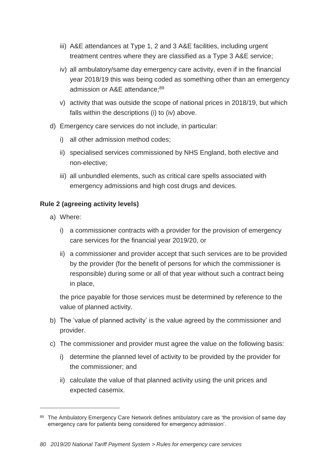- iii) A&E attendances at Type 1, 2 and 3 A&E facilities, including urgent treatment centres where they are classified as a Type 3 A&E service;
- iv) all ambulatory/same day emergency care activity, even if in the financial year 2018/19 this was being coded as something other than an emergency admission or A&E attendance;<sup>89</sup>
- v) activity that was outside the scope of national prices in 2018/19, but which falls within the descriptions (i) to (iv) above.
- d) Emergency care services do not include, in particular:
	- i) all other admission method codes;
	- ii) specialised services commissioned by NHS England, both elective and non-elective;
	- iii) all unbundled elements, such as critical care spells associated with emergency admissions and high cost drugs and devices.

## **Rule 2 (agreeing activity levels)**

a) Where:

 $\overline{a}$ 

- i) a commissioner contracts with a provider for the provision of emergency care services for the financial year 2019/20, or
- ii) a commissioner and provider accept that such services are to be provided by the provider (for the benefit of persons for which the commissioner is responsible) during some or all of that year without such a contract being in place,

the price payable for those services must be determined by reference to the value of planned activity.

- b) The 'value of planned activity' is the value agreed by the commissioner and provider.
- c) The commissioner and provider must agree the value on the following basis:
	- i) determine the planned level of activity to be provided by the provider for the commissioner; and
	- ii) calculate the value of that planned activity using the unit prices and expected casemix.

<sup>89</sup> The Ambulatory Emergency Care Network defines ambulatory care as 'the provision of same day emergency care for patients being considered for emergency admission'.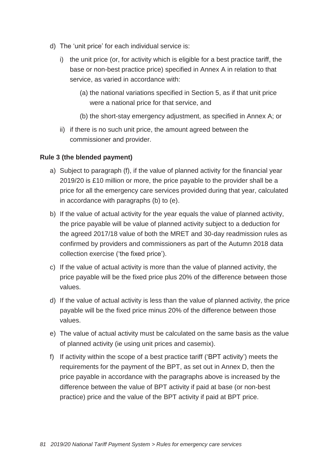- d) The 'unit price' for each individual service is:
	- i) the unit price (or, for activity which is eligible for a best practice tariff, the base or non-best practice price) specified in Annex A in relation to that service, as varied in accordance with:
		- (a) the national variations specified in Section 5, as if that unit price were a national price for that service, and
		- (b) the short-stay emergency adjustment, as specified in Annex A; or
	- ii) if there is no such unit price, the amount agreed between the commissioner and provider.

## **Rule 3 (the blended payment)**

- a) Subject to paragraph (f), if the value of planned activity for the financial year 2019/20 is £10 million or more, the price payable to the provider shall be a price for all the emergency care services provided during that year, calculated in accordance with paragraphs (b) to (e).
- b) If the value of actual activity for the year equals the value of planned activity, the price payable will be value of planned activity subject to a deduction for the agreed 2017/18 value of both the MRET and 30-day readmission rules as confirmed by providers and commissioners as part of the Autumn 2018 data collection exercise ('the fixed price').
- c) If the value of actual activity is more than the value of planned activity, the price payable will be the fixed price plus 20% of the difference between those values.
- d) If the value of actual activity is less than the value of planned activity, the price payable will be the fixed price minus 20% of the difference between those values.
- e) The value of actual activity must be calculated on the same basis as the value of planned activity (ie using unit prices and casemix).
- f) If activity within the scope of a best practice tariff ('BPT activity') meets the requirements for the payment of the BPT, as set out in Annex D, then the price payable in accordance with the paragraphs above is increased by the difference between the value of BPT activity if paid at base (or non-best practice) price and the value of the BPT activity if paid at BPT price.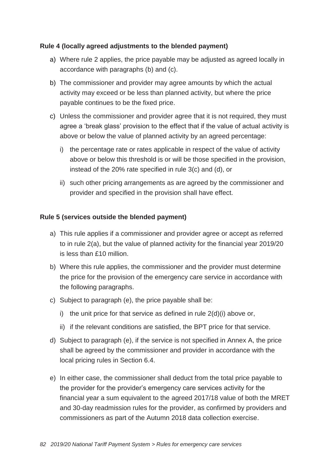## **Rule 4 (locally agreed adjustments to the blended payment)**

- a) Where rule 2 applies, the price payable may be adjusted as agreed locally in accordance with paragraphs (b) and (c).
- b) The commissioner and provider may agree amounts by which the actual activity may exceed or be less than planned activity, but where the price payable continues to be the fixed price.
- c) Unless the commissioner and provider agree that it is not required, they must agree a 'break glass' provision to the effect that if the value of actual activity is above or below the value of planned activity by an agreed percentage:
	- i) the percentage rate or rates applicable in respect of the value of activity above or below this threshold is or will be those specified in the provision, instead of the 20% rate specified in rule 3(c) and (d), or
	- ii) such other pricing arrangements as are agreed by the commissioner and provider and specified in the provision shall have effect.

#### **Rule 5 (services outside the blended payment)**

- a) This rule applies if a commissioner and provider agree or accept as referred to in rule 2(a), but the value of planned activity for the financial year 2019/20 is less than £10 million.
- b) Where this rule applies, the commissioner and the provider must determine the price for the provision of the emergency care service in accordance with the following paragraphs.
- c) Subject to paragraph (e), the price payable shall be:
	- i) the unit price for that service as defined in rule  $2(d)(i)$  above or,
	- ii) if the relevant conditions are satisfied, the BPT price for that service.
- d) Subject to paragraph (e), if the service is not specified in Annex A, the price shall be agreed by the commissioner and provider in accordance with the local pricing rules in Section 6.4.
- e) In either case, the commissioner shall deduct from the total price payable to the provider for the provider's emergency care services activity for the financial year a sum equivalent to the agreed 2017/18 value of both the MRET and 30-day readmission rules for the provider, as confirmed by providers and commissioners as part of the Autumn 2018 data collection exercise.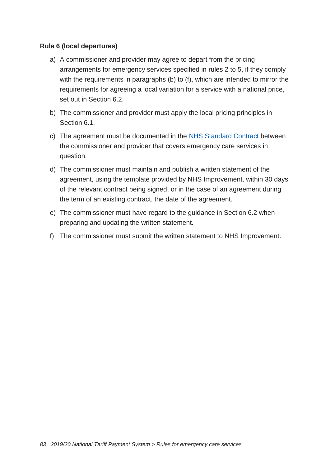#### **Rule 6 (local departures)**

- a) A commissioner and provider may agree to depart from the pricing arrangements for emergency services specified in rules 2 to 5, if they comply with the requirements in paragraphs (b) to (f), which are intended to mirror the requirements for agreeing a local variation for a service with a national price, set out in Section 6.2.
- b) The commissioner and provider must apply the local pricing principles in Section 6.1.
- c) The agreement must be documented in the [NHS Standard Contract](https://www.england.nhs.uk/nhs-standard-contract/) between the commissioner and provider that covers emergency care services in question.
- d) The commissioner must maintain and publish a written statement of the agreement, using the template provided by NHS Improvement, within 30 days of the relevant contract being signed, or in the case of an agreement during the term of an existing contract, the date of the agreement.
- e) The commissioner must have regard to the guidance in Section 6.2 when preparing and updating the written statement.
- f) The commissioner must submit the written statement to NHS Improvement.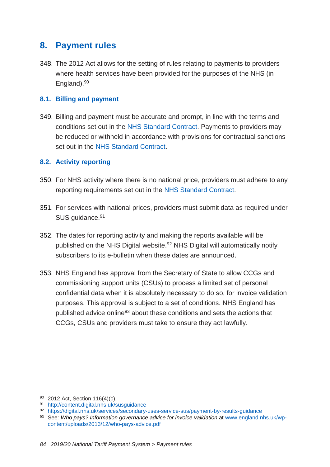## **8. Payment rules**

348. The 2012 Act allows for the setting of rules relating to payments to providers where health services have been provided for the purposes of the NHS (in England).<sup>90</sup>

## **8.1. Billing and payment**

349. Billing and payment must be accurate and prompt, in line with the terms and conditions set out in the [NHS Standard Contract.](https://www.england.nhs.uk/nhs-standard-contract/) Payments to providers may be reduced or withheld in accordance with provisions for contractual sanctions set out in the [NHS Standard Contract.](https://www.england.nhs.uk/nhs-standard-contract/)

## **8.2. Activity reporting**

- 350. For NHS activity where there is no national price, providers must adhere to any reporting requirements set out in the NHS [Standard Contract.](https://www.england.nhs.uk/nhs-standard-contract/)
- 351. For services with national prices, providers must submit data as required under SUS guidance.<sup>91</sup>
- 352. The dates for reporting activity and making the reports available will be published on the NHS Digital [website.](https://digital.nhs.uk/services/secondary-uses-service-sus/payment-by-results-guidance)<sup>92</sup> NHS Digital will automatically notify subscribers to its e-bulletin when these dates are announced.
- 353. NHS England has approval from the Secretary of State to allow CCGs and commissioning support units (CSUs) to process a limited set of personal confidential data when it is absolutely necessary to do so, for invoice validation purposes. This approval is subject to a set of conditions. NHS England has published advice online<sup>93</sup> about these conditions and sets the actions that CCGs, CSUs and providers must take to ensure they act lawfully.

-

<sup>90</sup> 2012 Act, Section 116(4)(c).

<sup>91</sup> <http://content.digital.nhs.uk/susguidance>

<sup>92</sup> <https://digital.nhs.uk/services/secondary-uses-service-sus/payment-by-results-guidance>

<sup>93</sup> See: *Who pays? Information governance advice for invoice validation* at [www.england.nhs.uk/wp](http://www.england.nhs.uk/wp-content/uploads/2013/12/who-pays-advice.pdf)[content/uploads/2013/12/who-pays-advice.pdf](http://www.england.nhs.uk/wp-content/uploads/2013/12/who-pays-advice.pdf)